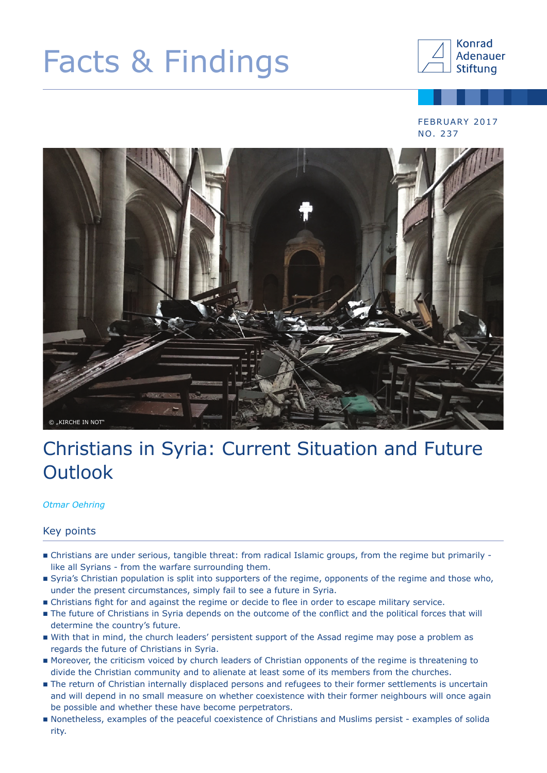# Facts & Findings



#### FEBRUARY 2017 NO. 237



## Christians in Syria: Current Situation and Future **Outlook**

*Otmar Oehring*

#### Key points

- Christians are under serious, tangible threat: from radical Islamic groups, from the regime but primarily like all Syrians - from the warfare surrounding them.
- Syria's Christian population is split into supporters of the regime, opponents of the regime and those who, under the present circumstances, simply fail to see a future in Syria.
- Christians fight for and against the regime or decide to flee in order to escape military service.
- The future of Christians in Syria depends on the outcome of the conflict and the political forces that will determine the country's future.
- With that in mind, the church leaders' persistent support of the Assad regime may pose a problem as regards the future of Christians in Syria.
- Moreover, the criticism voiced by church leaders of Christian opponents of the regime is threatening to divide the Christian community and to alienate at least some of its members from the churches.
- The return of Christian internally displaced persons and refugees to their former settlements is uncertain and will depend in no small measure on whether coexistence with their former neighbours will once again be possible and whether these have become perpetrators.
- Nonetheless, examples of the peaceful coexistence of Christians and Muslims persist examples of solida rity.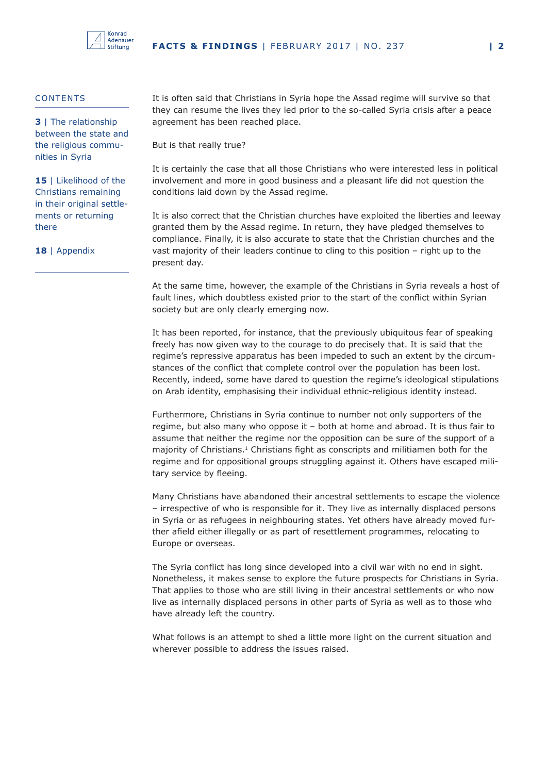

#### **CONTENTS**

**3** | The relationship between the state and the religious communities in Syria

15 | Likelihood of the Christians remaining in their original settlements or returning there

**18** | Appendix

It is often said that Christians in Syria hope the Assad regime will survive so that they can resume the lives they led prior to the so-called Syria crisis after a peace agreement has been reached place.

But is that really true?

It is certainly the case that all those Christians who were interested less in political involvement and more in good business and a pleasant life did not question the conditions laid down by the Assad regime.

It is also correct that the Christian churches have exploited the liberties and leeway granted them by the Assad regime. In return, they have pledged themselves to compliance. Finally, it is also accurate to state that the Christian churches and the vast majority of their leaders continue to cling to this position – right up to the present day.

At the same time, however, the example of the Christians in Syria reveals a host of fault lines, which doubtless existed prior to the start of the conflict within Syrian society but are only clearly emerging now.

It has been reported, for instance, that the previously ubiquitous fear of speaking freely has now given way to the courage to do precisely that. It is said that the regime's repressive apparatus has been impeded to such an extent by the circumstances of the conflict that complete control over the population has been lost. Recently, indeed, some have dared to question the regime's ideological stipulations on Arab identity, emphasising their individual ethnic-religious identity instead.

Furthermore, Christians in Syria continue to number not only supporters of the regime, but also many who oppose it – both at home and abroad. It is thus fair to assume that neither the regime nor the opposition can be sure of the support of a majority of Christians.<sup>1</sup> Christians fight as conscripts and militiamen both for the regime and for oppositional groups struggling against it. Others have escaped military service by fleeing.

Many Christians have abandoned their ancestral settlements to escape the violence – irrespective of who is responsible for it. They live as internally displaced persons in Syria or as refugees in neighbouring states. Yet others have already moved further afield either illegally or as part of resettlement programmes, relocating to Europe or overseas.

The Syria conflict has long since developed into a civil war with no end in sight. Nonetheless, it makes sense to explore the future prospects for Christians in Syria. That applies to those who are still living in their ancestral settlements or who now live as internally displaced persons in other parts of Syria as well as to those who have already left the country.

What follows is an attempt to shed a little more light on the current situation and wherever possible to address the issues raised.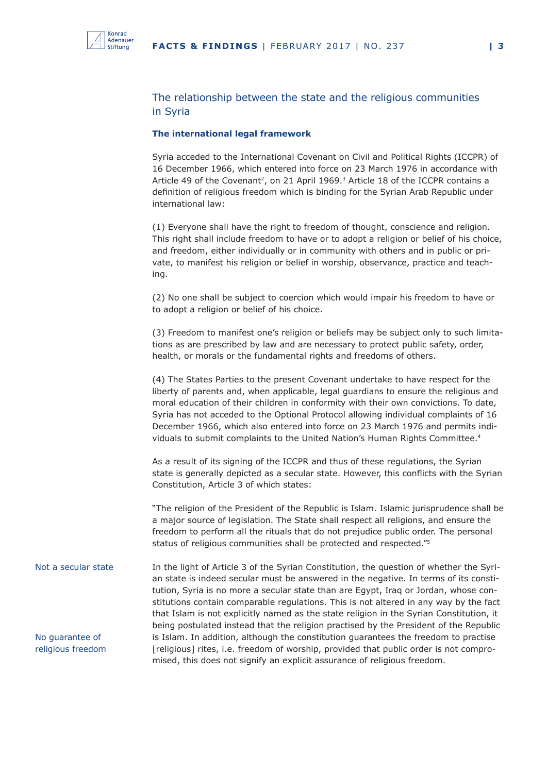

#### The relationship between the state and the religious communities in Syria

#### **The international legal framework**

Syria acceded to the International Covenant on Civil and Political Rights (ICCPR) of 16 December 1966, which entered into force on 23 March 1976 in accordance with Article 49 of the Covenant<sup>2</sup>, on 21 April 1969.<sup>3</sup> Article 18 of the ICCPR contains a definition of religious freedom which is binding for the Syrian Arab Republic under international law:

(1) Everyone shall have the right to freedom of thought, conscience and religion. This right shall include freedom to have or to adopt a religion or belief of his choice, and freedom, either individually or in community with others and in public or private, to manifest his religion or belief in worship, observance, practice and teaching.

(2) No one shall be subject to coercion which would impair his freedom to have or to adopt a religion or belief of his choice.

(3) Freedom to manifest one's religion or beliefs may be subject only to such limitations as are prescribed by law and are necessary to protect public safety, order, health, or morals or the fundamental rights and freedoms of others.

(4) The States Parties to the present Covenant undertake to have respect for the liberty of parents and, when applicable, legal guardians to ensure the religious and moral education of their children in conformity with their own convictions. To date, Syria has not acceded to the Optional Protocol allowing individual complaints of 16 December 1966, which also entered into force on 23 March 1976 and permits individuals to submit complaints to the United Nation's Human Rights Committee.<sup>4</sup>

As a result of its signing of the ICCPR and thus of these regulations, the Syrian state is generally depicted as a secular state. However, this conflicts with the Syrian Constitution, Article 3 of which states:

"The religion of the President of the Republic is Islam. Islamic jurisprudence shall be a major source of legislation. The State shall respect all religions, and ensure the freedom to perform all the rituals that do not prejudice public order. The personal status of religious communities shall be protected and respected."5

In the light of Article 3 of the Syrian Constitution, the question of whether the Syrian state is indeed secular must be answered in the negative. In terms of its constitution, Syria is no more a secular state than are Egypt, Iraq or Jordan, whose constitutions contain comparable regulations. This is not altered in any way by the fact that Islam is not explicitly named as the state religion in the Syrian Constitution, it being postulated instead that the religion practised by the President of the Republic is Islam. In addition, although the constitution guarantees the freedom to practise [religious] rites, i.e. freedom of worship, provided that public order is not compromised, this does not signify an explicit assurance of religious freedom. Not a secular state No guarantee of religious freedom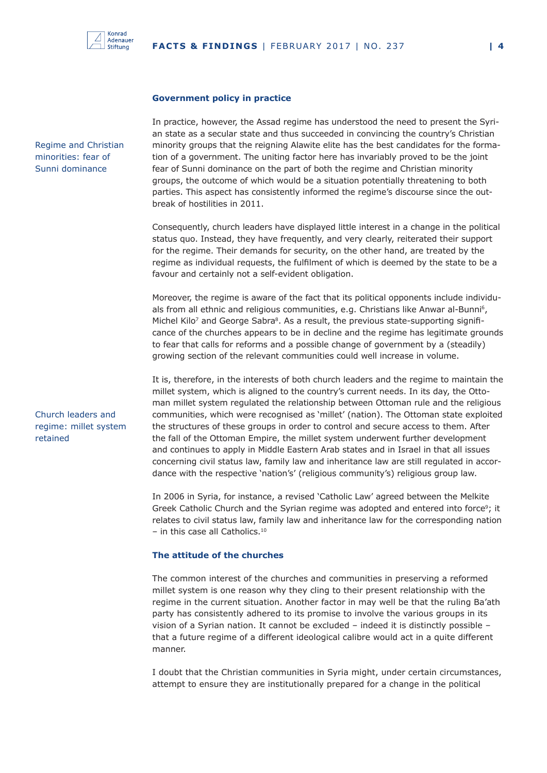

#### **Government policy in practice**

In practice, however, the Assad regime has understood the need to present the Syrian state as a secular state and thus succeeded in convincing the country's Christian minority groups that the reigning Alawite elite has the best candidates for the formation of a government. The uniting factor here has invariably proved to be the joint fear of Sunni dominance on the part of both the regime and Christian minority groups, the outcome of which would be a situation potentially threatening to both parties. This aspect has consistently informed the regime's discourse since the outbreak of hostilities in 2011.

Consequently, church leaders have displayed little interest in a change in the political status quo. Instead, they have frequently, and very clearly, reiterated their support for the regime. Their demands for security, on the other hand, are treated by the regime as individual requests, the fulfilment of which is deemed by the state to be a favour and certainly not a self-evident obligation.

Moreover, the regime is aware of the fact that its political opponents include individuals from all ethnic and religious communities, e.g. Christians like Anwar al-Bunni<sup>6</sup>, Michel Kilo<sup>7</sup> and George Sabra<sup>8</sup>. As a result, the previous state-supporting significance of the churches appears to be in decline and the regime has legitimate grounds to fear that calls for reforms and a possible change of government by a (steadily) growing section of the relevant communities could well increase in volume.

It is, therefore, in the interests of both church leaders and the regime to maintain the millet system, which is aligned to the country's current needs. In its day, the Ottoman millet system regulated the relationship between Ottoman rule and the religious communities, which were recognised as 'millet' (nation). The Ottoman state exploited the structures of these groups in order to control and secure access to them. After the fall of the Ottoman Empire, the millet system underwent further development and continues to apply in Middle Eastern Arab states and in Israel in that all issues concerning civil status law, family law and inheritance law are still regulated in accordance with the respective 'nation's' (religious community's) religious group law.

In 2006 in Syria, for instance, a revised 'Catholic Law' agreed between the Melkite Greek Catholic Church and the Syrian regime was adopted and entered into force<sup>9</sup>; it relates to civil status law, family law and inheritance law for the corresponding nation  $-$  in this case all Catholics.<sup>10</sup>

#### **The attitude of the churches**

The common interest of the churches and communities in preserving a reformed millet system is one reason why they cling to their present relationship with the regime in the current situation. Another factor in may well be that the ruling Ba'ath party has consistently adhered to its promise to involve the various groups in its vision of a Syrian nation. It cannot be excluded – indeed it is distinctly possible – that a future regime of a different ideological calibre would act in a quite different manner.

I doubt that the Christian communities in Syria might, under certain circumstances, attempt to ensure they are institutionally prepared for a change in the political

Regime and Christian minorities: fear of Sunni dominance

Church leaders and regime: millet system retained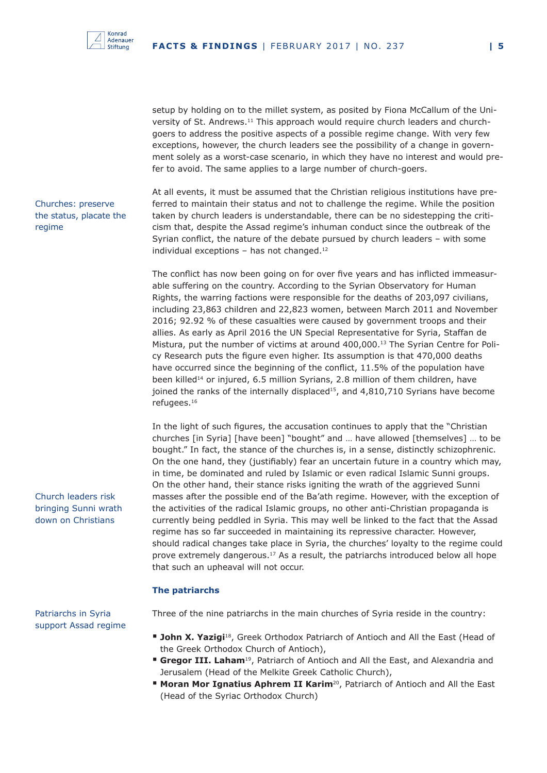

setup by holding on to the millet system, as posited by Fiona McCallum of the University of St. Andrews.11 This approach would require church leaders and churchgoers to address the positive aspects of a possible regime change. With very few exceptions, however, the church leaders see the possibility of a change in government solely as a worst-case scenario, in which they have no interest and would prefer to avoid. The same applies to a large number of church-goers.

Churches: preserve the status, placate the regime

At all events, it must be assumed that the Christian religious institutions have preferred to maintain their status and not to challenge the regime. While the position taken by church leaders is understandable, there can be no sidestepping the criticism that, despite the Assad regime's inhuman conduct since the outbreak of the Syrian conflict, the nature of the debate pursued by church leaders – with some individual exceptions – has not changed.<sup>12</sup>

The conflict has now been going on for over five years and has inflicted immeasurable suffering on the country. According to the Syrian Observatory for Human Rights, the warring factions were responsible for the deaths of 203,097 civilians, including 23,863 children and 22,823 women, between March 2011 and November 2016; 92.92 % of these casualties were caused by government troops and their allies. As early as April 2016 the UN Special Representative for Syria, Staffan de Mistura, put the number of victims at around 400,000.13 The Syrian Centre for Policy Research puts the figure even higher. Its assumption is that 470,000 deaths have occurred since the beginning of the conflict, 11.5% of the population have been killed<sup>14</sup> or injured, 6.5 million Syrians, 2.8 million of them children, have joined the ranks of the internally displaced<sup>15</sup>, and  $4,810,710$  Syrians have become refugees.16

In the light of such figures, the accusation continues to apply that the "Christian churches [in Syria] [have been] "bought" and … have allowed [themselves] … to be bought." In fact, the stance of the churches is, in a sense, distinctly schizophrenic. On the one hand, they (justifiably) fear an uncertain future in a country which may, in time, be dominated and ruled by Islamic or even radical Islamic Sunni groups. On the other hand, their stance risks igniting the wrath of the aggrieved Sunni masses after the possible end of the Ba'ath regime. However, with the exception of the activities of the radical Islamic groups, no other anti-Christian propaganda is currently being peddled in Syria. This may well be linked to the fact that the Assad regime has so far succeeded in maintaining its repressive character. However, should radical changes take place in Syria, the churches' loyalty to the regime could prove extremely dangerous.<sup>17</sup> As a result, the patriarchs introduced below all hope that such an upheaval will not occur.

#### **The patriarchs**

Patriarchs in Syria support Assad regime

Church leaders risk bringing Sunni wrath down on Christians

Three of the nine patriarchs in the main churches of Syria reside in the country:

- **John X. Yazigi**<sup>18</sup>, Greek Orthodox Patriarch of Antioch and All the East (Head of the Greek Orthodox Church of Antioch),
- **Gregor III. Laham**<sup>19</sup>, Patriarch of Antioch and All the East, and Alexandria and Jerusalem (Head of the Melkite Greek Catholic Church),
- **Moran Mor Ignatius Aphrem II Karim<sup>20</sup>, Patriarch of Antioch and All the East** (Head of the Syriac Orthodox Church)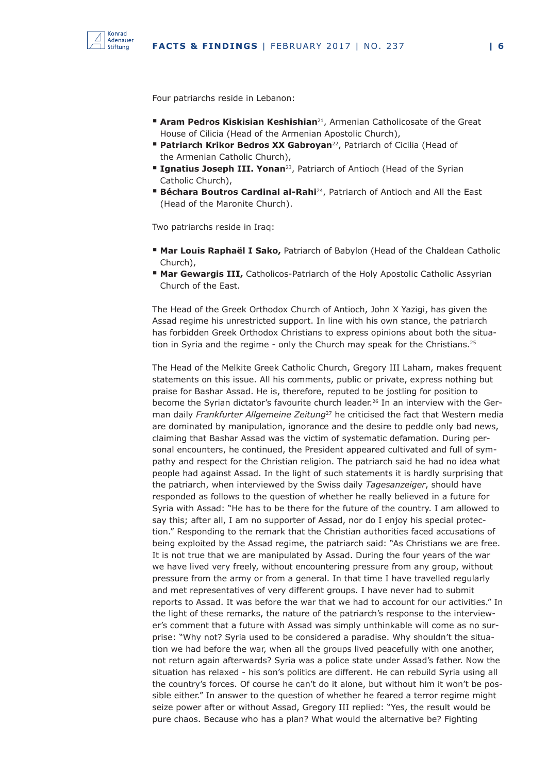

Four patriarchs reside in Lebanon:

- **Aram Pedros Kiskisian Keshishian**<sup>21</sup>, Armenian Catholicosate of the Great House of Cilicia (Head of the Armenian Apostolic Church),
- **Patriarch Krikor Bedros XX Gabroyan**<sup>22</sup>, Patriarch of Cicilia (Head of the Armenian Catholic Church),
- **Ignatius Joseph III. Yonan**<sup>23</sup>, Patriarch of Antioch (Head of the Syrian Catholic Church),
- **Béchara Boutros Cardinal al-Rahi**<sup>24</sup>, Patriarch of Antioch and All the East (Head of the Maronite Church).

Two patriarchs reside in Iraq:

- **Mar Louis Raphaël I Sako,** Patriarch of Babylon (Head of the Chaldean Catholic Church),
- **Mar Gewargis III, Catholicos-Patriarch of the Holy Apostolic Catholic Assyrian** Church of the East.

The Head of the Greek Orthodox Church of Antioch, John X Yazigi, has given the Assad regime his unrestricted support. In line with his own stance, the patriarch has forbidden Greek Orthodox Christians to express opinions about both the situation in Syria and the regime - only the Church may speak for the Christians.<sup>25</sup>

The Head of the Melkite Greek Catholic Church, Gregory III Laham, makes frequent statements on this issue. All his comments, public or private, express nothing but praise for Bashar Assad. He is, therefore, reputed to be jostling for position to become the Syrian dictator's favourite church leader.<sup>26</sup> In an interview with the German daily *Frankfurter Allgemeine Zeitung*27 he criticised the fact that Western media are dominated by manipulation, ignorance and the desire to peddle only bad news, claiming that Bashar Assad was the victim of systematic defamation. During personal encounters, he continued, the President appeared cultivated and full of sympathy and respect for the Christian religion. The patriarch said he had no idea what people had against Assad. In the light of such statements it is hardly surprising that the patriarch, when interviewed by the Swiss daily *Tagesanzeiger*, should have responded as follows to the question of whether he really believed in a future for Syria with Assad: "He has to be there for the future of the country. I am allowed to say this; after all, I am no supporter of Assad, nor do I enjoy his special protection." Responding to the remark that the Christian authorities faced accusations of being exploited by the Assad regime, the patriarch said: "As Christians we are free. It is not true that we are manipulated by Assad. During the four years of the war we have lived very freely, without encountering pressure from any group, without pressure from the army or from a general. In that time I have travelled regularly and met representatives of very different groups. I have never had to submit reports to Assad. It was before the war that we had to account for our activities." In the light of these remarks, the nature of the patriarch's response to the interviewer's comment that a future with Assad was simply unthinkable will come as no surprise: "Why not? Syria used to be considered a paradise. Why shouldn't the situation we had before the war, when all the groups lived peacefully with one another, not return again afterwards? Syria was a police state under Assad's father. Now the situation has relaxed - his son's politics are different. He can rebuild Syria using all the country's forces. Of course he can't do it alone, but without him it won't be possible either." In answer to the question of whether he feared a terror regime might seize power after or without Assad, Gregory III replied: "Yes, the result would be pure chaos. Because who has a plan? What would the alternative be? Fighting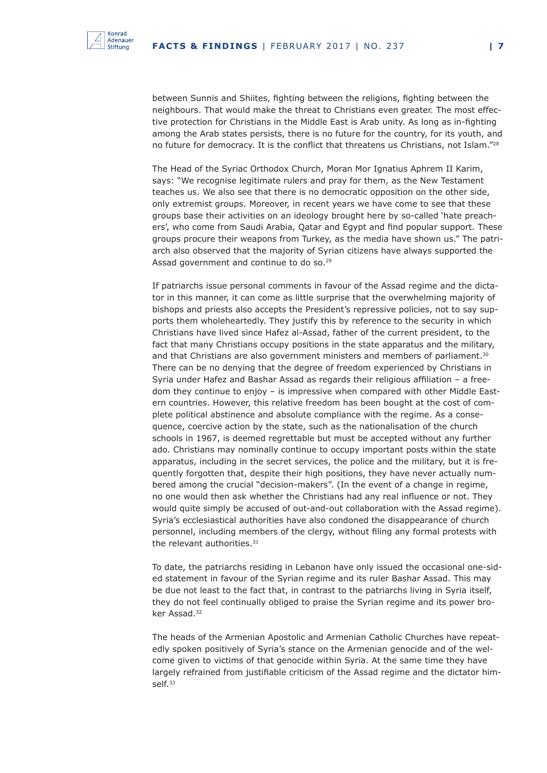

between Sunnis and Shiites, fighting between the religions, fighting between the neighbours. That would make the threat to Christians even greater. The most effective protection for Christians in the Middle East is Arab unity. As long as in-fighting among the Arab states persists, there is no future for the country, for its youth, and no future for democracy. It is the conflict that threatens us Christians, not Islam."<sup>28</sup>

The Head of the Syriac Orthodox Church, Moran Mor Ignatius Aphrem II Karim, says: "We recognise legitimate rulers and pray for them, as the New Testament teaches us. We also see that there is no democratic opposition on the other side, only extremist groups. Moreover, in recent years we have come to see that these groups base their activities on an ideology brought here by so-called 'hate preachers', who come from Saudi Arabia, Qatar and Egypt and find popular support. These groups procure their weapons from Turkey, as the media have shown us." The patriarch also observed that the majority of Syrian citizens have always supported the Assad government and continue to do so.<sup>29</sup>

If patriarchs issue personal comments in favour of the Assad regime and the dictator in this manner, it can come as little surprise that the overwhelming majority of bishops and priests also accepts the President's repressive policies, not to say supports them wholeheartedly. They justify this by reference to the security in which Christians have lived since Hafez al-Assad, father of the current president, to the fact that many Christians occupy positions in the state apparatus and the military, and that Christians are also government ministers and members of parliament.<sup>30</sup> There can be no denying that the degree of freedom experienced by Christians in Syria under Hafez and Bashar Assad as regards their religious affiliation – a freedom they continue to enjoy – is impressive when compared with other Middle Eastern countries. However, this relative freedom has been bought at the cost of complete political abstinence and absolute compliance with the regime. As a consequence, coercive action by the state, such as the nationalisation of the church schools in 1967, is deemed regrettable but must be accepted without any further ado. Christians may nominally continue to occupy important posts within the state apparatus, including in the secret services, the police and the military, but it is frequently forgotten that, despite their high positions, they have never actually numbered among the crucial "decision-makers". (In the event of a change in regime, no one would then ask whether the Christians had any real influence or not. They would quite simply be accused of out-and-out collaboration with the Assad regime). Syria's ecclesiastical authorities have also condoned the disappearance of church personnel, including members of the clergy, without filing any formal protests with the relevant authorities.<sup>31</sup>

To date, the patriarchs residing in Lebanon have only issued the occasional one-sided statement in favour of the Syrian regime and its ruler Bashar Assad. This may be due not least to the fact that, in contrast to the patriarchs living in Syria itself, they do not feel continually obliged to praise the Syrian regime and its power broker Assad.32

The heads of the Armenian Apostolic and Armenian Catholic Churches have repeatedly spoken positively of Syria's stance on the Armenian genocide and of the welcome given to victims of that genocide within Syria. At the same time they have largely refrained from justifiable criticism of the Assad regime and the dictator himself.33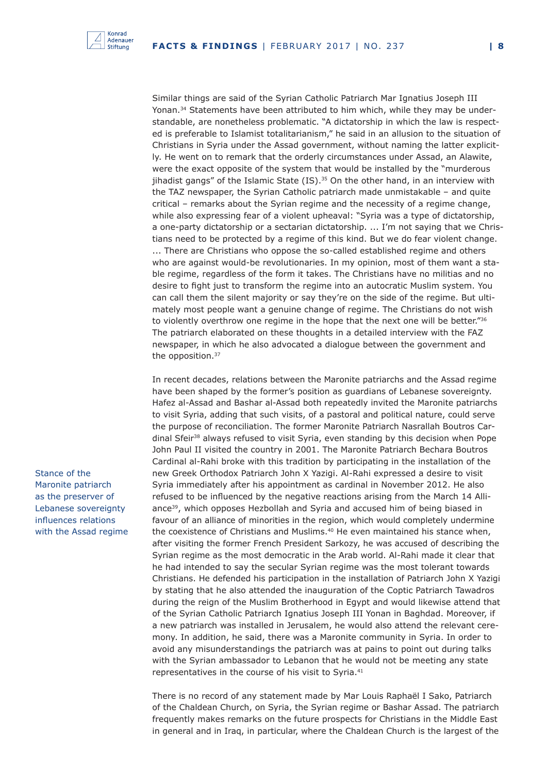

Similar things are said of the Syrian Catholic Patriarch Mar Ignatius Joseph III Yonan.34 Statements have been attributed to him which, while they may be understandable, are nonetheless problematic. "A dictatorship in which the law is respected is preferable to Islamist totalitarianism," he said in an allusion to the situation of Christians in Syria under the Assad government, without naming the latter explicitly. He went on to remark that the orderly circumstances under Assad, an Alawite, were the exact opposite of the system that would be installed by the "murderous jihadist gangs" of the Islamic State  $(IS).^{35}$  On the other hand, in an interview with the TAZ newspaper, the Syrian Catholic patriarch made unmistakable – and quite critical – remarks about the Syrian regime and the necessity of a regime change, while also expressing fear of a violent upheaval: "Syria was a type of dictatorship, a one-party dictatorship or a sectarian dictatorship. ... I'm not saying that we Christians need to be protected by a regime of this kind. But we do fear violent change. ... There are Christians who oppose the so-called established regime and others who are against would-be revolutionaries. In my opinion, most of them want a stable regime, regardless of the form it takes. The Christians have no militias and no desire to fight just to transform the regime into an autocratic Muslim system. You can call them the silent majority or say they're on the side of the regime. But ultimately most people want a genuine change of regime. The Christians do not wish to violently overthrow one regime in the hope that the next one will be better."<sup>36</sup> The patriarch elaborated on these thoughts in a detailed interview with the FAZ newspaper, in which he also advocated a dialogue between the government and the opposition.<sup>37</sup>

In recent decades, relations between the Maronite patriarchs and the Assad regime have been shaped by the former's position as guardians of Lebanese sovereignty. Hafez al-Assad and Bashar al-Assad both repeatedly invited the Maronite patriarchs to visit Syria, adding that such visits, of a pastoral and political nature, could serve the purpose of reconciliation. The former Maronite Patriarch Nasrallah Boutros Cardinal Sfeir38 always refused to visit Syria, even standing by this decision when Pope John Paul II visited the country in 2001. The Maronite Patriarch Bechara Boutros Cardinal al-Rahi broke with this tradition by participating in the installation of the new Greek Orthodox Patriarch John X Yazigi. Al-Rahi expressed a desire to visit Syria immediately after his appointment as cardinal in November 2012. He also refused to be influenced by the negative reactions arising from the March 14 Alliance<sup>39</sup>, which opposes Hezbollah and Syria and accused him of being biased in favour of an alliance of minorities in the region, which would completely undermine the coexistence of Christians and Muslims.<sup>40</sup> He even maintained his stance when, after visiting the former French President Sarkozy, he was accused of describing the Syrian regime as the most democratic in the Arab world. Al-Rahi made it clear that he had intended to say the secular Syrian regime was the most tolerant towards Christians. He defended his participation in the installation of Patriarch John X Yazigi by stating that he also attended the inauguration of the Coptic Patriarch Tawadros during the reign of the Muslim Brotherhood in Egypt and would likewise attend that of the Syrian Catholic Patriarch Ignatius Joseph III Yonan in Baghdad. Moreover, if a new patriarch was installed in Jerusalem, he would also attend the relevant ceremony. In addition, he said, there was a Maronite community in Syria. In order to avoid any misunderstandings the patriarch was at pains to point out during talks with the Syrian ambassador to Lebanon that he would not be meeting any state representatives in the course of his visit to Syria.<sup>41</sup>

There is no record of any statement made by Mar Louis Raphaël I Sako, Patriarch of the Chaldean Church, on Syria, the Syrian regime or Bashar Assad. The patriarch frequently makes remarks on the future prospects for Christians in the Middle East in general and in Iraq, in particular, where the Chaldean Church is the largest of the

Stance of the Maronite patriarch as the preserver of Lebanese sovereignty influences relations with the Assad regime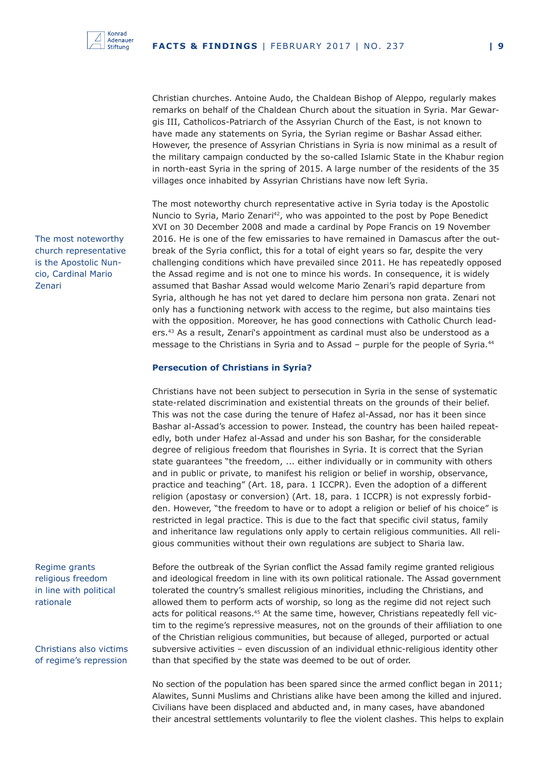Christian churches. Antoine Audo, the Chaldean Bishop of Aleppo, regularly makes remarks on behalf of the Chaldean Church about the situation in Syria. Mar Gewargis III, Catholicos-Patriarch of the Assyrian Church of the East, is not known to have made any statements on Syria, the Syrian regime or Bashar Assad either. However, the presence of Assyrian Christians in Syria is now minimal as a result of the military campaign conducted by the so-called Islamic State in the Khabur region in north-east Syria in the spring of 2015. A large number of the residents of the 35 villages once inhabited by Assyrian Christians have now left Syria.

The most noteworthy church representative active in Syria today is the Apostolic Nuncio to Syria, Mario Zenari<sup>42</sup>, who was appointed to the post by Pope Benedict XVI on 30 December 2008 and made a cardinal by Pope Francis on 19 November 2016. He is one of the few emissaries to have remained in Damascus after the outbreak of the Syria conflict, this for a total of eight years so far, despite the very challenging conditions which have prevailed since 2011. He has repeatedly opposed the Assad regime and is not one to mince his words. In consequence, it is widely assumed that Bashar Assad would welcome Mario Zenari's rapid departure from Syria, although he has not yet dared to declare him persona non grata. Zenari not only has a functioning network with access to the regime, but also maintains ties with the opposition. Moreover, he has good connections with Catholic Church leaders.43 As a result, Zenari's appointment as cardinal must also be understood as a message to the Christians in Syria and to Assad – purple for the people of Syria.<sup>44</sup>

#### **Persecution of Christians in Syria?**

Christians have not been subject to persecution in Syria in the sense of systematic state-related discrimination and existential threats on the grounds of their belief. This was not the case during the tenure of Hafez al-Assad, nor has it been since Bashar al-Assad's accession to power. Instead, the country has been hailed repeatedly, both under Hafez al-Assad and under his son Bashar, for the considerable degree of religious freedom that flourishes in Syria. It is correct that the Syrian state guarantees "the freedom, ... either individually or in community with others and in public or private, to manifest his religion or belief in worship, observance, practice and teaching" (Art. 18, para. 1 ICCPR). Even the adoption of a different religion (apostasy or conversion) (Art. 18, para. 1 ICCPR) is not expressly forbidden. However, "the freedom to have or to adopt a religion or belief of his choice" is restricted in legal practice. This is due to the fact that specific civil status, family and inheritance law regulations only apply to certain religious communities. All religious communities without their own regulations are subject to Sharia law.

Before the outbreak of the Syrian conflict the Assad family regime granted religious and ideological freedom in line with its own political rationale. The Assad government tolerated the country's smallest religious minorities, including the Christians, and allowed them to perform acts of worship, so long as the regime did not reject such acts for political reasons.<sup>45</sup> At the same time, however, Christians repeatedly fell victim to the regime's repressive measures, not on the grounds of their affiliation to one of the Christian religious communities, but because of alleged, purported or actual subversive activities – even discussion of an individual ethnic-religious identity other than that specified by the state was deemed to be out of order.

No section of the population has been spared since the armed conflict began in 2011; Alawites, Sunni Muslims and Christians alike have been among the killed and injured. Civilians have been displaced and abducted and, in many cases, have abandoned their ancestral settlements voluntarily to flee the violent clashes. This helps to explain

The most noteworthy church representative is the Apostolic Nuncio, Cardinal Mario Zenari

Regime grants religious freedom in line with political rationale

Christians also victims of regime's repression

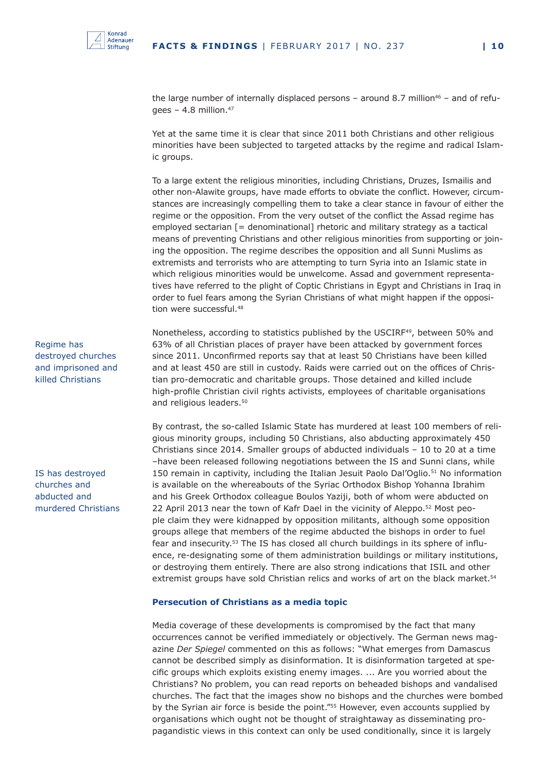

the large number of internally displaced persons – around 8.7 million<sup>46</sup> – and of refugees – 4.8 million. $47$ 

Yet at the same time it is clear that since 2011 both Christians and other religious minorities have been subjected to targeted attacks by the regime and radical Islamic groups.

To a large extent the religious minorities, including Christians, Druzes, Ismailis and other non-Alawite groups, have made efforts to obviate the conflict. However, circumstances are increasingly compelling them to take a clear stance in favour of either the regime or the opposition. From the very outset of the conflict the Assad regime has employed sectarian [= denominational] rhetoric and military strategy as a tactical means of preventing Christians and other religious minorities from supporting or joining the opposition. The regime describes the opposition and all Sunni Muslims as extremists and terrorists who are attempting to turn Syria into an Islamic state in which religious minorities would be unwelcome. Assad and government representatives have referred to the plight of Coptic Christians in Egypt and Christians in Iraq in order to fuel fears among the Syrian Christians of what might happen if the opposition were successful.48

Nonetheless, according to statistics published by the USCIRF<sup>49</sup>, between 50% and 63% of all Christian places of prayer have been attacked by government forces since 2011. Unconfirmed reports say that at least 50 Christians have been killed and at least 450 are still in custody. Raids were carried out on the offices of Christian pro-democratic and charitable groups. Those detained and killed include high-profile Christian civil rights activists, employees of charitable organisations and religious leaders.<sup>50</sup>

By contrast, the so-called Islamic State has murdered at least 100 members of religious minority groups, including 50 Christians, also abducting approximately 450 Christians since 2014. Smaller groups of abducted individuals – 10 to 20 at a time –have been released following negotiations between the IS and Sunni clans, while 150 remain in captivity, including the Italian Jesuit Paolo Dal'Oglio.<sup>51</sup> No information is available on the whereabouts of the Syriac Orthodox Bishop Yohanna Ibrahim and his Greek Orthodox colleague Boulos Yaziji, both of whom were abducted on 22 April 2013 near the town of Kafr Dael in the vicinity of Aleppo.<sup>52</sup> Most people claim they were kidnapped by opposition militants, although some opposition groups allege that members of the regime abducted the bishops in order to fuel fear and insecurity.53 The IS has closed all church buildings in its sphere of influence, re-designating some of them administration buildings or military institutions, or destroying them entirely. There are also strong indications that ISIL and other extremist groups have sold Christian relics and works of art on the black market.<sup>54</sup>

#### **Persecution of Christians as a media topic**

Media coverage of these developments is compromised by the fact that many occurrences cannot be verified immediately or objectively. The German news magazine *Der Spiegel* commented on this as follows: "What emerges from Damascus cannot be described simply as disinformation. It is disinformation targeted at specific groups which exploits existing enemy images. ... Are you worried about the Christians? No problem, you can read reports on beheaded bishops and vandalised churches. The fact that the images show no bishops and the churches were bombed by the Syrian air force is beside the point."<sup>55</sup> However, even accounts supplied by organisations which ought not be thought of straightaway as disseminating propagandistic views in this context can only be used conditionally, since it is largely

Regime has destroyed churches and imprisoned and killed Christians

IS has destroyed churches and abducted and murdered Christians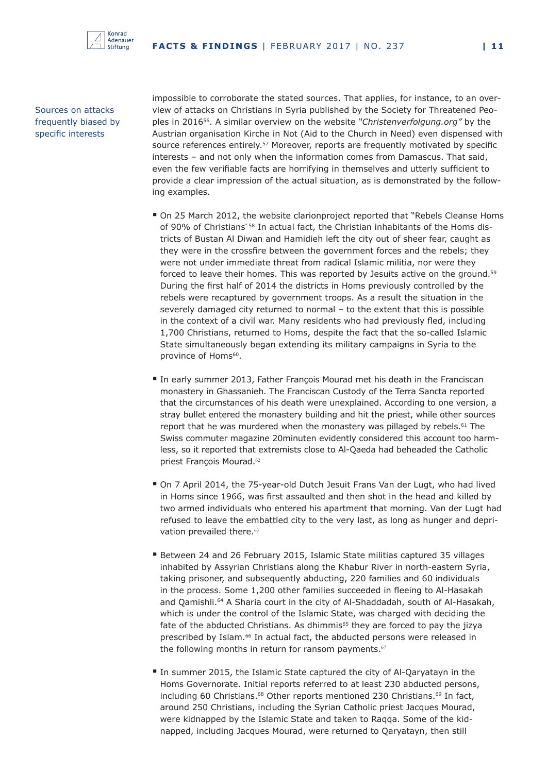

Sources on attacks frequently biased by specific interests

impossible to corroborate the stated sources. That applies, for instance, to an overview of attacks on Christians in Syria published by the Society for Threatened Peoples in 201656. A similar overview on the website *"Christenverfolgung.org"* by the Austrian organisation Kirche in Not (Aid to the Church in Need) even dispensed with source references entirely.57 Moreover, reports are frequently motivated by specific interests – and not only when the information comes from Damascus. That said, even the few verifiable facts are horrifying in themselves and utterly sufficient to provide a clear impression of the actual situation, as is demonstrated by the following examples.

- On 25 March 2012, the website clarionproject reported that "Rebels Cleanse Homs of 90% of Christians".58 In actual fact, the Christian inhabitants of the Homs districts of Bustan Al Diwan and Hamidieh left the city out of sheer fear, caught as they were in the crossfire between the government forces and the rebels; they were not under immediate threat from radical Islamic militia, nor were they forced to leave their homes. This was reported by Jesuits active on the ground.<sup>59</sup> During the first half of 2014 the districts in Homs previously controlled by the rebels were recaptured by government troops. As a result the situation in the severely damaged city returned to normal – to the extent that this is possible in the context of a civil war. Many residents who had previously fled, including 1,700 Christians, returned to Homs, despite the fact that the so-called Islamic State simultaneously began extending its military campaigns in Syria to the province of Homs<sup>60</sup>.
- In early summer 2013, Father François Mourad met his death in the Franciscan monastery in Ghassanieh. The Franciscan Custody of the Terra Sancta reported that the circumstances of his death were unexplained. According to one version, a stray bullet entered the monastery building and hit the priest, while other sources report that he was murdered when the monastery was pillaged by rebels.<sup>61</sup> The Swiss commuter magazine 20minuten evidently considered this account too harmless, so it reported that extremists close to Al-Qaeda had beheaded the Catholic priest François Mourad.<sup>62</sup>
- On 7 April 2014, the 75-year-old Dutch Jesuit Frans Van der Lugt, who had lived in Homs since 1966, was first assaulted and then shot in the head and killed by two armed individuals who entered his apartment that morning. Van der Lugt had refused to leave the embattled city to the very last, as long as hunger and deprivation prevailed there.<sup>63</sup>
- Between 24 and 26 February 2015, Islamic State militias captured 35 villages inhabited by Assyrian Christians along the Khabur River in north-eastern Syria, taking prisoner, and subsequently abducting, 220 families and 60 individuals in the process. Some 1,200 other families succeeded in fleeing to Al-Hasakah and Qamishli.<sup>64</sup> A Sharia court in the city of Al-Shaddadah, south of Al-Hasakah, which is under the control of the Islamic State, was charged with deciding the fate of the abducted Christians. As dhimmis<sup>65</sup> they are forced to pay the jizya prescribed by Islam.<sup>66</sup> In actual fact, the abducted persons were released in the following months in return for ransom payments. $67$
- In summer 2015, the Islamic State captured the city of Al-Qaryatayn in the Homs Governorate. Initial reports referred to at least 230 abducted persons, including 60 Christians.<sup>68</sup> Other reports mentioned 230 Christians.<sup>69</sup> In fact, around 250 Christians, including the Syrian Catholic priest Jacques Mourad, were kidnapped by the Islamic State and taken to Raqqa. Some of the kidnapped, including Jacques Mourad, were returned to Qaryatayn, then still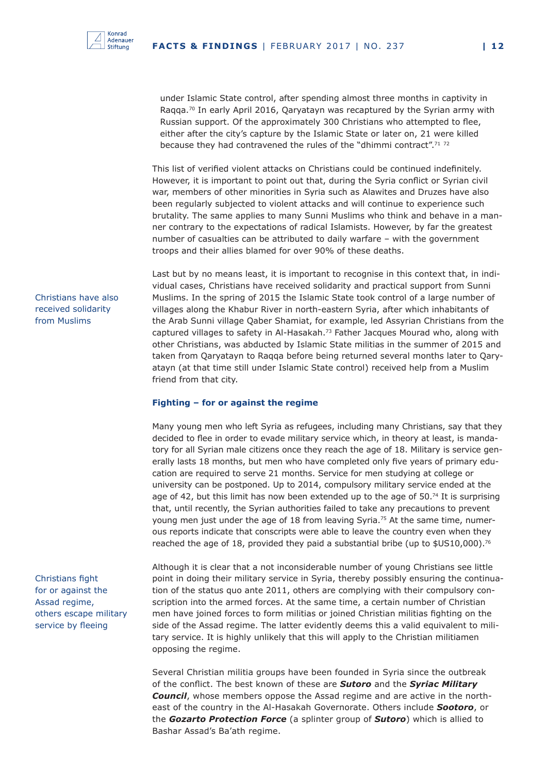under Islamic State control, after spending almost three months in captivity in Ragga.<sup>70</sup> In early April 2016, Qaryatayn was recaptured by the Syrian army with Russian support. Of the approximately 300 Christians who attempted to flee, either after the city's capture by the Islamic State or later on, 21 were killed because they had contravened the rules of the "dhimmi contract".<sup>71</sup><sup>72</sup>

This list of verified violent attacks on Christians could be continued indefinitely. However, it is important to point out that, during the Syria conflict or Syrian civil war, members of other minorities in Syria such as Alawites and Druzes have also been regularly subjected to violent attacks and will continue to experience such brutality. The same applies to many Sunni Muslims who think and behave in a manner contrary to the expectations of radical Islamists. However, by far the greatest number of casualties can be attributed to daily warfare – with the government troops and their allies blamed for over 90% of these deaths.

Last but by no means least, it is important to recognise in this context that, in individual cases, Christians have received solidarity and practical support from Sunni Muslims. In the spring of 2015 the Islamic State took control of a large number of villages along the Khabur River in north-eastern Syria, after which inhabitants of the Arab Sunni village Qaber Shamiat, for example, led Assyrian Christians from the captured villages to safety in Al-Hasakah.<sup>73</sup> Father Jacques Mourad who, along with other Christians, was abducted by Islamic State militias in the summer of 2015 and taken from Qaryatayn to Raqqa before being returned several months later to Qaryatayn (at that time still under Islamic State control) received help from a Muslim friend from that city.

#### **Fighting – for or against the regime**

Many young men who left Syria as refugees, including many Christians, say that they decided to flee in order to evade military service which, in theory at least, is mandatory for all Syrian male citizens once they reach the age of 18. Military is service generally lasts 18 months, but men who have completed only five years of primary education are required to serve 21 months. Service for men studying at college or university can be postponed. Up to 2014, compulsory military service ended at the age of 42, but this limit has now been extended up to the age of  $50.^{74}$  It is surprising that, until recently, the Syrian authorities failed to take any precautions to prevent young men just under the age of 18 from leaving Syria.<sup>75</sup> At the same time, numerous reports indicate that conscripts were able to leave the country even when they reached the age of 18, provided they paid a substantial bribe (up to  $$US10,000$ ).<sup>76</sup>

Although it is clear that a not inconsiderable number of young Christians see little point in doing their military service in Syria, thereby possibly ensuring the continuation of the status quo ante 2011, others are complying with their compulsory conscription into the armed forces. At the same time, a certain number of Christian men have joined forces to form militias or joined Christian militias fighting on the side of the Assad regime. The latter evidently deems this a valid equivalent to military service. It is highly unlikely that this will apply to the Christian militiamen opposing the regime.

Several Christian militia groups have been founded in Syria since the outbreak of the conflict. The best known of these are *Sutoro* and the *Syriac Military Council*, whose members oppose the Assad regime and are active in the northeast of the country in the Al-Hasakah Governorate. Others include *Sootoro*, or the *Gozarto Protection Force* (a splinter group of *Sutoro*) which is allied to Bashar Assad's Ba'ath regime.

Christians have also received solidarity from Muslims

#### Christians fight for or against the Assad regime, others escape military service by fleeing

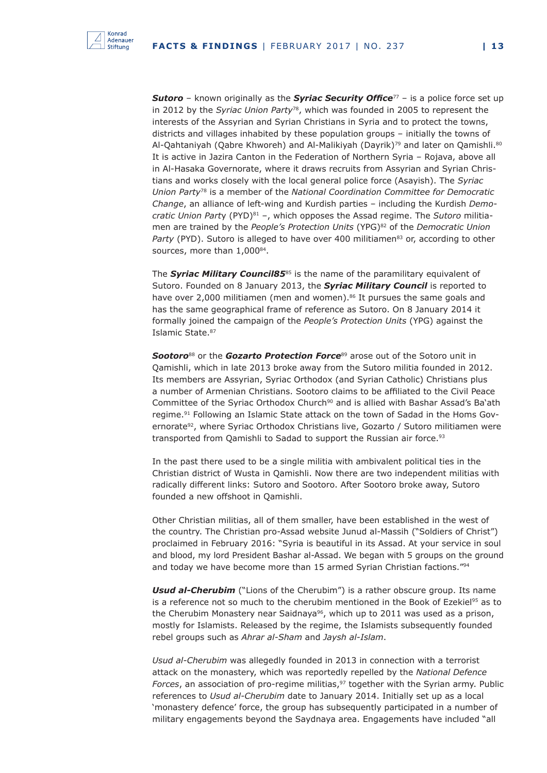

*Sutoro* – known originally as the *Syriac Security Office*<sup>77</sup> – is a police force set up in 2012 by the *Syriac Union Party*78, which was founded in 2005 to represent the interests of the Assyrian and Syrian Christians in Syria and to protect the towns, districts and villages inhabited by these population groups – initially the towns of Al-Qahtaniyah (Qabre Khworeh) and Al-Malikiyah (Dayrik)<sup>79</sup> and later on Qamishli.<sup>80</sup> It is active in Jazira Canton in the Federation of Northern Syria – Rojava, above all in Al-Hasaka Governorate, where it draws recruits from Assyrian and Syrian Christians and works closely with the local general police force (Asayish). The *Syriac Union Party*78 is a member of the *National Coordination Committee for Democratic Change*, an alliance of left-wing and Kurdish parties – including the Kurdish *Democratic Union Part*y (PYD)81 –, which opposes the Assad regime. The *Sutoro* militiamen are trained by the *People's Protection Units* (YPG)<sup>82</sup> of the *Democratic Union Party* (PYD). Sutoro is alleged to have over 400 militiamen<sup>83</sup> or, according to other sources, more than 1,00084.

The **Syriac Military Council85**<sup>85</sup> is the name of the paramilitary equivalent of Sutoro. Founded on 8 January 2013, the *Syriac Military Council* is reported to have over 2,000 militiamen (men and women).<sup>86</sup> It pursues the same goals and has the same geographical frame of reference as Sutoro. On 8 January 2014 it formally joined the campaign of the *People's Protection Units* (YPG) against the Islamic State.<sup>87</sup>

**Sootoro**<sup>88</sup> or the *Gozarto Protection Force*<sup>89</sup> arose out of the Sotoro unit in Qamishli, which in late 2013 broke away from the Sutoro militia founded in 2012. Its members are Assyrian, Syriac Orthodox (and Syrian Catholic) Christians plus a number of Armenian Christians. Sootoro claims to be affiliated to the Civil Peace Committee of the Syriac Orthodox Church<sup>90</sup> and is allied with Bashar Assad's Ba'ath regime.91 Following an Islamic State attack on the town of Sadad in the Homs Governorate<sup>92</sup>, where Syriac Orthodox Christians live, Gozarto / Sutoro militiamen were transported from Qamishli to Sadad to support the Russian air force.<sup>93</sup>

In the past there used to be a single militia with ambivalent political ties in the Christian district of Wusta in Qamishli. Now there are two independent militias with radically different links: Sutoro and Sootoro. After Sootoro broke away, Sutoro founded a new offshoot in Qamishli.

Other Christian militias, all of them smaller, have been established in the west of the country. The Christian pro-Assad website Junud al-Massih ("Soldiers of Christ") proclaimed in February 2016: "Syria is beautiful in its Assad. At your service in soul and blood, my lord President Bashar al-Assad. We began with 5 groups on the ground and today we have become more than 15 armed Syrian Christian factions."94

*Usud al-Cherubim* ("Lions of the Cherubim") is a rather obscure group. Its name is a reference not so much to the cherubim mentioned in the Book of Ezekiel<sup>95</sup> as to the Cherubim Monastery near Saidnaya<sup>96</sup>, which up to 2011 was used as a prison, mostly for Islamists. Released by the regime, the Islamists subsequently founded rebel groups such as *Ahrar al-Sham* and *Jaysh al-Islam*.

*Usud al-Cherubim* was allegedly founded in 2013 in connection with a terrorist attack on the monastery, which was reportedly repelled by the *National Defence Forces*, an association of pro-regime militias,<sup>97</sup> together with the Syrian army. Public references to *Usud al-Cherubim* date to January 2014. Initially set up as a local 'monastery defence' force, the group has subsequently participated in a number of military engagements beyond the Saydnaya area. Engagements have included "all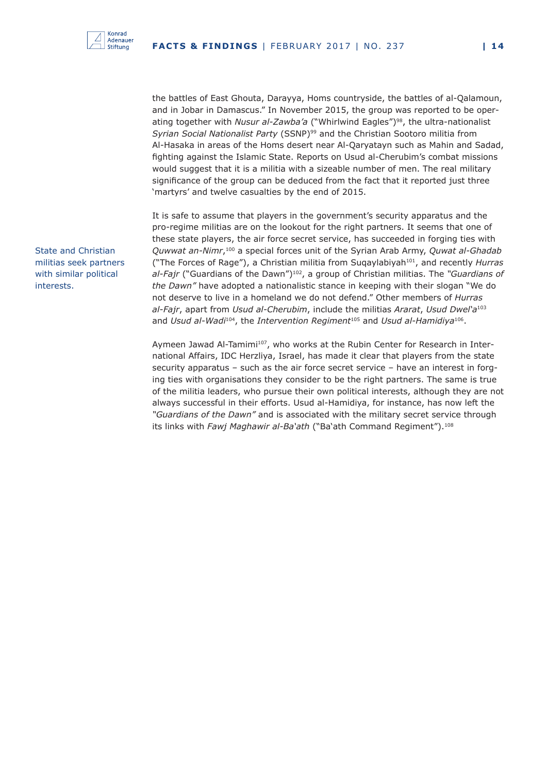

the battles of East Ghouta, Darayya, Homs countryside, the battles of al-Qalamoun, and in Jobar in Damascus." In November 2015, the group was reported to be operating together with *Nusur al-Zawba'a* ("Whirlwind Eagles")98, the ultra-nationalist *Syrian Social Nationalist Party* (SSNP)99 and the Christian Sootoro militia from Al-Hasaka in areas of the Homs desert near Al-Qaryatayn such as Mahin and Sadad, fighting against the Islamic State. Reports on Usud al-Cherubim's combat missions would suggest that it is a militia with a sizeable number of men. The real military significance of the group can be deduced from the fact that it reported just three 'martyrs' and twelve casualties by the end of 2015.

It is safe to assume that players in the government's security apparatus and the pro-regime militias are on the lookout for the right partners. It seems that one of these state players, the air force secret service, has succeeded in forging ties with *Quwwat an-Nimr*,100 a special forces unit of the Syrian Arab Army, *Quwat al-Ghadab* ("The Forces of Rage"), a Christian militia from Suqaylabiyah101, and recently *Hurras al-Fajr* ("Guardians of the Dawn")102, a group of Christian militias. The *"Guardians of the Dawn"* have adopted a nationalistic stance in keeping with their slogan "We do not deserve to live in a homeland we do not defend." Other members of *Hurras al-Fajr*, apart from *Usud al-Cherubim*, include the militias *Ararat*, *Usud Dwel'a*<sup>103</sup> and *Usud al-Wadi<sup>104</sup>*, the *Intervention Regiment<sup>105</sup> and Usud al-Hamidiya<sup>106</sup>.* 

Aymeen Jawad Al-Tamimi<sup>107</sup>, who works at the Rubin Center for Research in International Affairs, IDC Herzliya, Israel, has made it clear that players from the state security apparatus – such as the air force secret service – have an interest in forging ties with organisations they consider to be the right partners. The same is true of the militia leaders, who pursue their own political interests, although they are not always successful in their efforts. Usud al-Hamidiya, for instance, has now left the *"Guardians of the Dawn"* and is associated with the military secret service through its links with *Fawj Maghawir al-Ba'ath* ("Ba'ath Command Regiment").<sup>108</sup>

State and Christian militias seek partners with similar political interests.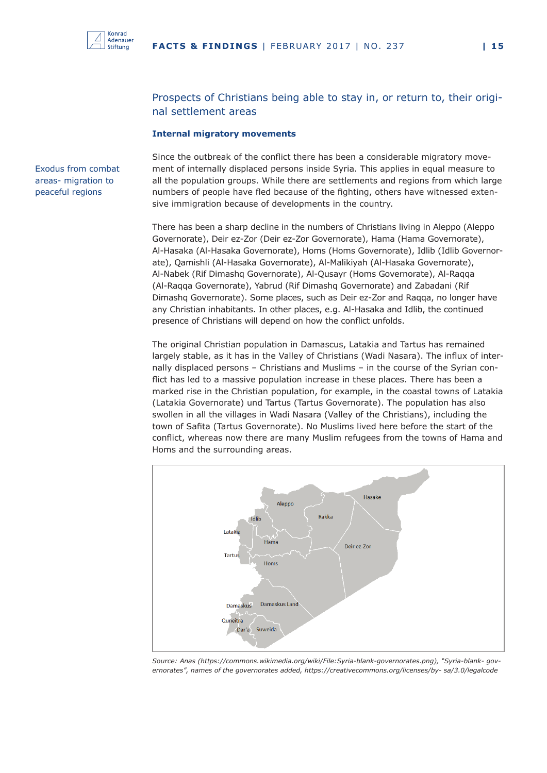

#### Prospects of Christians being able to stay in, or return to, their original settlement areas

#### **Internal migratory movements**

Exodus from combat areas- migration to peaceful regions

Since the outbreak of the conflict there has been a considerable migratory movement of internally displaced persons inside Syria. This applies in equal measure to all the population groups. While there are settlements and regions from which large numbers of people have fled because of the fighting, others have witnessed extensive immigration because of developments in the country.

There has been a sharp decline in the numbers of Christians living in Aleppo (Aleppo Governorate), Deir ez-Zor (Deir ez-Zor Governorate), Hama (Hama Governorate), Al-Hasaka (Al-Hasaka Governorate), Homs (Homs Governorate), Idlib (Idlib Governorate), Qamishli (Al-Hasaka Governorate), Al-Malikiyah (Al-Hasaka Governorate), Al-Nabek (Rif Dimashq Governorate), Al-Qusayr (Homs Governorate), Al-Raqqa (Al-Raqqa Governorate), Yabrud (Rif Dimashq Governorate) and Zabadani (Rif Dimashq Governorate). Some places, such as Deir ez-Zor and Raqqa, no longer have any Christian inhabitants. In other places, e.g. Al-Hasaka and Idlib, the continued presence of Christians will depend on how the conflict unfolds.

The original Christian population in Damascus, Latakia and Tartus has remained largely stable, as it has in the Valley of Christians (Wadi Nasara). The influx of internally displaced persons – Christians and Muslims – in the course of the Syrian conflict has led to a massive population increase in these places. There has been a marked rise in the Christian population, for example, in the coastal towns of Latakia (Latakia Governorate) und Tartus (Tartus Governorate). The population has also swollen in all the villages in Wadi Nasara (Valley of the Christians), including the town of Safita (Tartus Governorate). No Muslims lived here before the start of the conflict, whereas now there are many Muslim refugees from the towns of Hama and Homs and the surrounding areas.



*Source: Anas (https://commons.wikimedia.org/wiki/File:Syria-blank-governorates.png), "Syria-blank- governorates", names of the governorates added, https://creativecommons.org/licenses/by- sa/3.0/legalcode*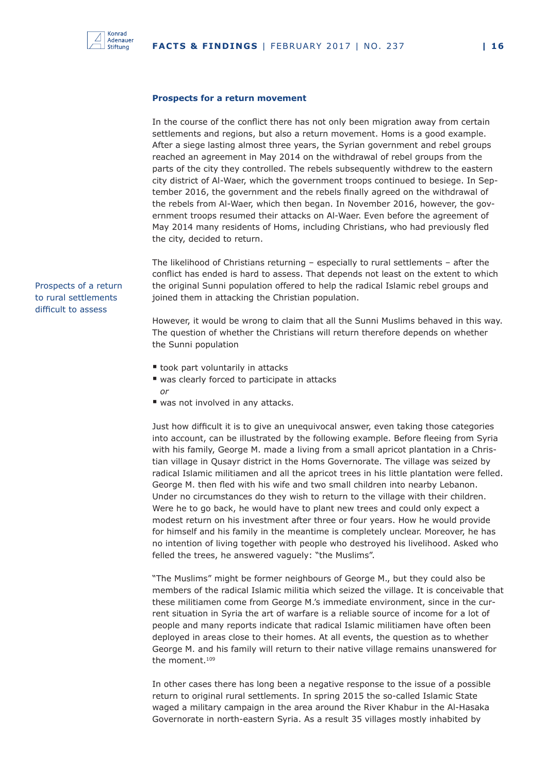

#### **Prospects for a return movement**

In the course of the conflict there has not only been migration away from certain settlements and regions, but also a return movement. Homs is a good example. After a siege lasting almost three years, the Syrian government and rebel groups reached an agreement in May 2014 on the withdrawal of rebel groups from the parts of the city they controlled. The rebels subsequently withdrew to the eastern city district of Al-Waer, which the government troops continued to besiege. In September 2016, the government and the rebels finally agreed on the withdrawal of the rebels from Al-Waer, which then began. In November 2016, however, the government troops resumed their attacks on Al-Waer. Even before the agreement of May 2014 many residents of Homs, including Christians, who had previously fled the city, decided to return.

The likelihood of Christians returning – especially to rural settlements – after the conflict has ended is hard to assess. That depends not least on the extent to which the original Sunni population offered to help the radical Islamic rebel groups and joined them in attacking the Christian population.

However, it would be wrong to claim that all the Sunni Muslims behaved in this way. The question of whether the Christians will return therefore depends on whether the Sunni population

- took part voluntarily in attacks
- was clearly forced to participate in attacks *or*
- was not involved in any attacks.

Just how difficult it is to give an unequivocal answer, even taking those categories into account, can be illustrated by the following example. Before fleeing from Syria with his family, George M. made a living from a small apricot plantation in a Christian village in Qusayr district in the Homs Governorate. The village was seized by radical Islamic militiamen and all the apricot trees in his little plantation were felled. George M. then fled with his wife and two small children into nearby Lebanon. Under no circumstances do they wish to return to the village with their children. Were he to go back, he would have to plant new trees and could only expect a modest return on his investment after three or four years. How he would provide for himself and his family in the meantime is completely unclear. Moreover, he has no intention of living together with people who destroyed his livelihood. Asked who felled the trees, he answered vaguely: "the Muslims".

"The Muslims" might be former neighbours of George M., but they could also be members of the radical Islamic militia which seized the village. It is conceivable that these militiamen come from George M.'s immediate environment, since in the current situation in Syria the art of warfare is a reliable source of income for a lot of people and many reports indicate that radical Islamic militiamen have often been deployed in areas close to their homes. At all events, the question as to whether George M. and his family will return to their native village remains unanswered for the moment.109

In other cases there has long been a negative response to the issue of a possible return to original rural settlements. In spring 2015 the so-called Islamic State waged a military campaign in the area around the River Khabur in the Al-Hasaka Governorate in north-eastern Syria. As a result 35 villages mostly inhabited by

Prospects of a return to rural settlements difficult to assess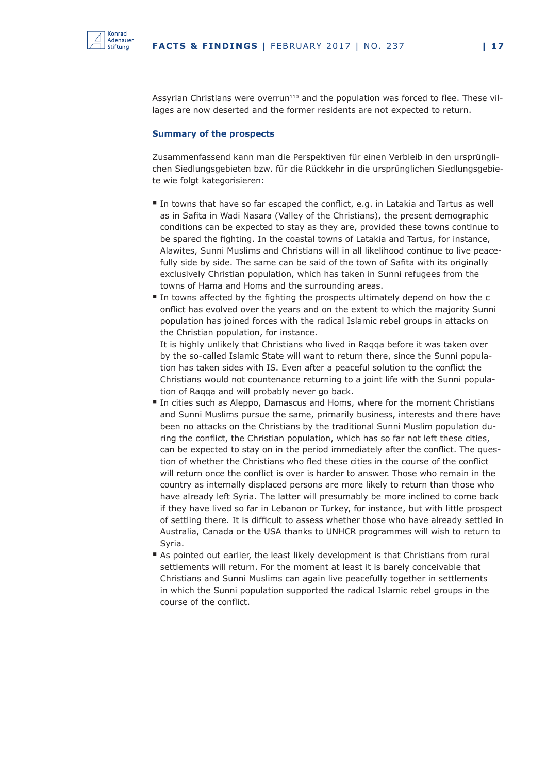

Assyrian Christians were overrun<sup>110</sup> and the population was forced to flee. These villages are now deserted and the former residents are not expected to return.

#### **Summary of the prospects**

Zusammenfassend kann man die Perspektiven für einen Verbleib in den ursprünglichen Siedlungsgebieten bzw. für die Rückkehr in die ursprünglichen Siedlungsgebiete wie folgt kategorisieren:

- In towns that have so far escaped the conflict, e.g. in Latakia and Tartus as well as in Safita in Wadi Nasara (Valley of the Christians), the present demographic conditions can be expected to stay as they are, provided these towns continue to be spared the fighting. In the coastal towns of Latakia and Tartus, for instance, Alawites, Sunni Muslims and Christians will in all likelihood continue to live peacefully side by side. The same can be said of the town of Safita with its originally exclusively Christian population, which has taken in Sunni refugees from the towns of Hama and Homs and the surrounding areas.
- In towns affected by the fighting the prospects ultimately depend on how the c onflict has evolved over the years and on the extent to which the majority Sunni population has joined forces with the radical Islamic rebel groups in attacks on the Christian population, for instance.

It is highly unlikely that Christians who lived in Raqqa before it was taken over by the so-called Islamic State will want to return there, since the Sunni population has taken sides with IS. Even after a peaceful solution to the conflict the Christians would not countenance returning to a joint life with the Sunni population of Raqqa and will probably never go back.

- In cities such as Aleppo, Damascus and Homs, where for the moment Christians and Sunni Muslims pursue the same, primarily business, interests and there have been no attacks on the Christians by the traditional Sunni Muslim population during the conflict, the Christian population, which has so far not left these cities, can be expected to stay on in the period immediately after the conflict. The question of whether the Christians who fled these cities in the course of the conflict will return once the conflict is over is harder to answer. Those who remain in the country as internally displaced persons are more likely to return than those who have already left Syria. The latter will presumably be more inclined to come back if they have lived so far in Lebanon or Turkey, for instance, but with little prospect of settling there. It is difficult to assess whether those who have already settled in Australia, Canada or the USA thanks to UNHCR programmes will wish to return to Syria.
- As pointed out earlier, the least likely development is that Christians from rural settlements will return. For the moment at least it is barely conceivable that Christians and Sunni Muslims can again live peacefully together in settlements in which the Sunni population supported the radical Islamic rebel groups in the course of the conflict.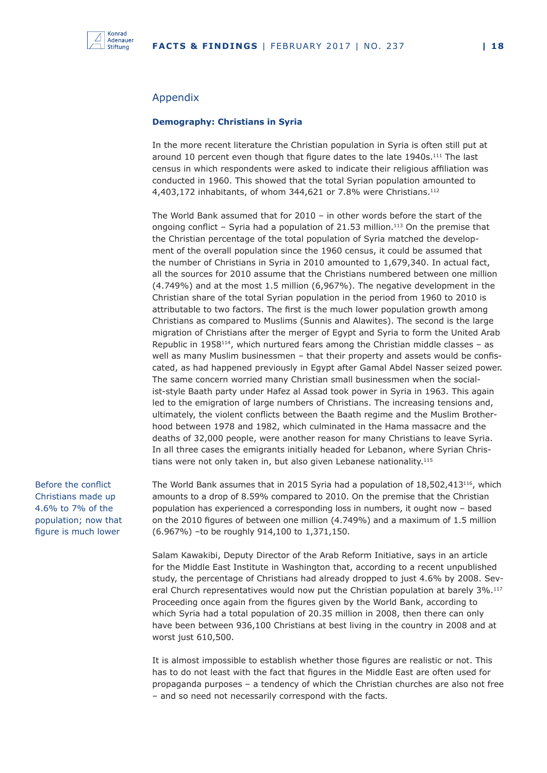

#### Appendix

#### **Demography: Christians in Syria**

In the more recent literature the Christian population in Syria is often still put at around 10 percent even though that figure dates to the late 1940s.<sup>111</sup> The last census in which respondents were asked to indicate their religious affiliation was conducted in 1960. This showed that the total Syrian population amounted to 4,403,172 inhabitants, of whom 344,621 or 7.8% were Christians.112

The World Bank assumed that for 2010 – in other words before the start of the ongoing conflict – Syria had a population of 21.53 million.<sup>113</sup> On the premise that the Christian percentage of the total population of Syria matched the development of the overall population since the 1960 census, it could be assumed that the number of Christians in Syria in 2010 amounted to 1,679,340. In actual fact, all the sources for 2010 assume that the Christians numbered between one million (4.749%) and at the most 1.5 million (6,967%). The negative development in the Christian share of the total Syrian population in the period from 1960 to 2010 is attributable to two factors. The first is the much lower population growth among Christians as compared to Muslims (Sunnis and Alawites). The second is the large migration of Christians after the merger of Egypt and Syria to form the United Arab Republic in  $1958<sup>114</sup>$ , which nurtured fears among the Christian middle classes – as well as many Muslim businessmen – that their property and assets would be confiscated, as had happened previously in Egypt after Gamal Abdel Nasser seized power. The same concern worried many Christian small businessmen when the socialist-style Baath party under Hafez al Assad took power in Syria in 1963. This again led to the emigration of large numbers of Christians. The increasing tensions and, ultimately, the violent conflicts between the Baath regime and the Muslim Brotherhood between 1978 and 1982, which culminated in the Hama massacre and the deaths of 32,000 people, were another reason for many Christians to leave Syria. In all three cases the emigrants initially headed for Lebanon, where Syrian Christians were not only taken in, but also given Lebanese nationality.<sup>115</sup>

Before the conflict Christians made up 4.6% to 7% of the population; now that figure is much lower

The World Bank assumes that in 2015 Syria had a population of 18,502,413116, which amounts to a drop of 8.59% compared to 2010. On the premise that the Christian population has experienced a corresponding loss in numbers, it ought now – based on the 2010 figures of between one million (4.749%) and a maximum of 1.5 million (6.967%) –to be roughly 914,100 to 1,371,150.

Salam Kawakibi, Deputy Director of the Arab Reform Initiative, says in an article for the Middle East Institute in Washington that, according to a recent unpublished study, the percentage of Christians had already dropped to just 4.6% by 2008. Several Church representatives would now put the Christian population at barely 3%.<sup>117</sup> Proceeding once again from the figures given by the World Bank, according to which Syria had a total population of 20.35 million in 2008, then there can only have been between 936,100 Christians at best living in the country in 2008 and at worst just 610,500.

It is almost impossible to establish whether those figures are realistic or not. This has to do not least with the fact that figures in the Middle East are often used for propaganda purposes – a tendency of which the Christian churches are also not free – and so need not necessarily correspond with the facts.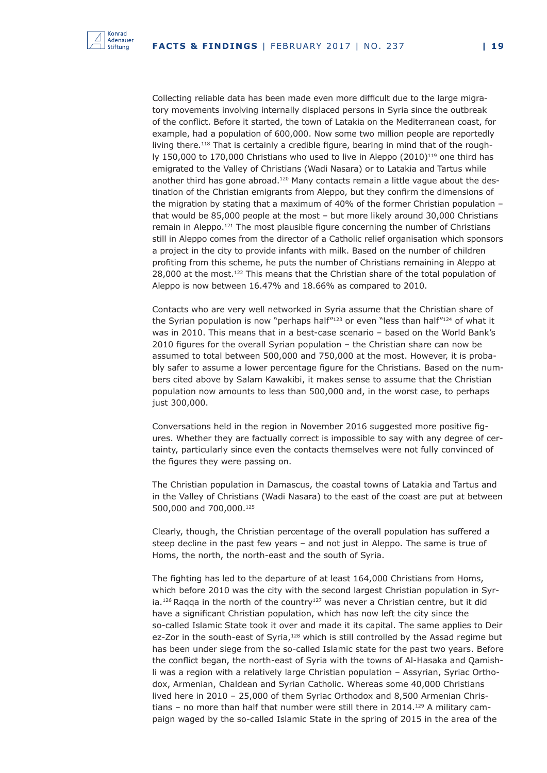

Collecting reliable data has been made even more difficult due to the large migratory movements involving internally displaced persons in Syria since the outbreak of the conflict. Before it started, the town of Latakia on the Mediterranean coast, for example, had a population of 600,000. Now some two million people are reportedly living there.<sup>118</sup> That is certainly a credible figure, bearing in mind that of the roughly 150,000 to 170,000 Christians who used to live in Aleppo  $(2010)^{119}$  one third has emigrated to the Valley of Christians (Wadi Nasara) or to Latakia and Tartus while another third has gone abroad.120 Many contacts remain a little vague about the destination of the Christian emigrants from Aleppo, but they confirm the dimensions of the migration by stating that a maximum of 40% of the former Christian population – that would be 85,000 people at the most – but more likely around 30,000 Christians remain in Aleppo.121 The most plausible figure concerning the number of Christians still in Aleppo comes from the director of a Catholic relief organisation which sponsors a project in the city to provide infants with milk. Based on the number of children profiting from this scheme, he puts the number of Christians remaining in Aleppo at 28,000 at the most.<sup>122</sup> This means that the Christian share of the total population of Aleppo is now between 16.47% and 18.66% as compared to 2010.

Contacts who are very well networked in Syria assume that the Christian share of the Syrian population is now "perhaps half"<sup>123</sup> or even "less than half"<sup>124</sup> of what it was in 2010. This means that in a best-case scenario – based on the World Bank's 2010 figures for the overall Syrian population – the Christian share can now be assumed to total between 500,000 and 750,000 at the most. However, it is probably safer to assume a lower percentage figure for the Christians. Based on the numbers cited above by Salam Kawakibi, it makes sense to assume that the Christian population now amounts to less than 500,000 and, in the worst case, to perhaps just 300,000.

Conversations held in the region in November 2016 suggested more positive figures. Whether they are factually correct is impossible to say with any degree of certainty, particularly since even the contacts themselves were not fully convinced of the figures they were passing on.

The Christian population in Damascus, the coastal towns of Latakia and Tartus and in the Valley of Christians (Wadi Nasara) to the east of the coast are put at between 500,000 and 700,000.125

Clearly, though, the Christian percentage of the overall population has suffered a steep decline in the past few years – and not just in Aleppo. The same is true of Homs, the north, the north-east and the south of Syria.

The fighting has led to the departure of at least 164,000 Christians from Homs, which before 2010 was the city with the second largest Christian population in Syria.<sup>126</sup> Raqqa in the north of the country<sup>127</sup> was never a Christian centre, but it did have a significant Christian population, which has now left the city since the so-called Islamic State took it over and made it its capital. The same applies to Deir ez-Zor in the south-east of Syria,<sup>128</sup> which is still controlled by the Assad regime but has been under siege from the so-called Islamic state for the past two years. Before the conflict began, the north-east of Syria with the towns of Al-Hasaka and Qamishli was a region with a relatively large Christian population – Assyrian, Syriac Orthodox, Armenian, Chaldean and Syrian Catholic. Whereas some 40,000 Christians lived here in 2010 – 25,000 of them Syriac Orthodox and 8,500 Armenian Christians - no more than half that number were still there in 2014.<sup>129</sup> A military campaign waged by the so-called Islamic State in the spring of 2015 in the area of the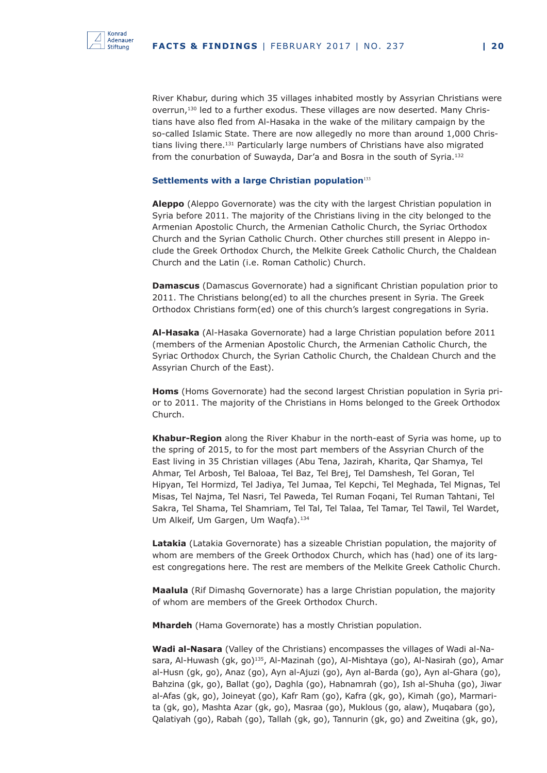

River Khabur, during which 35 villages inhabited mostly by Assyrian Christians were overrun,130 led to a further exodus. These villages are now deserted. Many Christians have also fled from Al-Hasaka in the wake of the military campaign by the so-called Islamic State. There are now allegedly no more than around 1,000 Christians living there.<sup>131</sup> Particularly large numbers of Christians have also migrated from the conurbation of Suwayda, Dar'a and Bosra in the south of Syria.132

#### **Settlements with a large Christian population**<sup>133</sup>

**Aleppo** (Aleppo Governorate) was the city with the largest Christian population in Syria before 2011. The majority of the Christians living in the city belonged to the Armenian Apostolic Church, the Armenian Catholic Church, the Syriac Orthodox Church and the Syrian Catholic Church. Other churches still present in Aleppo include the Greek Orthodox Church, the Melkite Greek Catholic Church, the Chaldean Church and the Latin (i.e. Roman Catholic) Church.

**Damascus** (Damascus Governorate) had a significant Christian population prior to 2011. The Christians belong(ed) to all the churches present in Syria. The Greek Orthodox Christians form(ed) one of this church's largest congregations in Syria.

**Al-Hasaka** (Al-Hasaka Governorate) had a large Christian population before 2011 (members of the Armenian Apostolic Church, the Armenian Catholic Church, the Syriac Orthodox Church, the Syrian Catholic Church, the Chaldean Church and the Assyrian Church of the East).

**Homs** (Homs Governorate) had the second largest Christian population in Syria prior to 2011. The majority of the Christians in Homs belonged to the Greek Orthodox Church.

**Khabur-Region** along the River Khabur in the north-east of Syria was home, up to the spring of 2015, to for the most part members of the Assyrian Church of the East living in 35 Christian villages (Abu Tena, Jazirah, Kharita, Qar Shamya, Tel Ahmar, Tel Arbosh, Tel Baloaa, Tel Baz, Tel Brej, Tel Damshesh, Tel Goran, Tel Hipyan, Tel Hormizd, Tel Jadiya, Tel Jumaa, Tel Kepchi, Tel Meghada, Tel Mignas, Tel Misas, Tel Najma, Tel Nasri, Tel Paweda, Tel Ruman Foqani, Tel Ruman Tahtani, Tel Sakra, Tel Shama, Tel Shamriam, Tel Tal, Tel Talaa, Tel Tamar, Tel Tawil, Tel Wardet, Um Alkeif, Um Gargen, Um Wagfa).<sup>134</sup>

**Latakia** (Latakia Governorate) has a sizeable Christian population, the majority of whom are members of the Greek Orthodox Church, which has (had) one of its largest congregations here. The rest are members of the Melkite Greek Catholic Church.

**Maalula** (Rif Dimashq Governorate) has a large Christian population, the majority of whom are members of the Greek Orthodox Church.

**Mhardeh** (Hama Governorate) has a mostly Christian population.

**Wadi al-Nasara** (Valley of the Christians) encompasses the villages of Wadi al-Nasara, Al-Huwash (gk, go)<sup>135</sup>, Al-Mazinah (go), Al-Mishtaya (go), Al-Nasirah (go), Amar al-Husn (gk, go), Anaz (go), Ayn al-Ajuzi (go), Ayn al-Barda (go), Ayn al-Ghara (go), Bahzina (gk, go), Ballat (go), Daghla (go), Habnamrah (go), Ish al-Shuha (go), Jiwar al-Afas (gk, go), Joineyat (go), Kafr Ram (go), Kafra (gk, go), Kimah (go), Marmarita (gk, go), Mashta Azar (gk, go), Masraa (go), Muklous (go, alaw), Muqabara (go), Qalatiyah (go), Rabah (go), Tallah (gk, go), Tannurin (gk, go) and Zweitina (gk, go),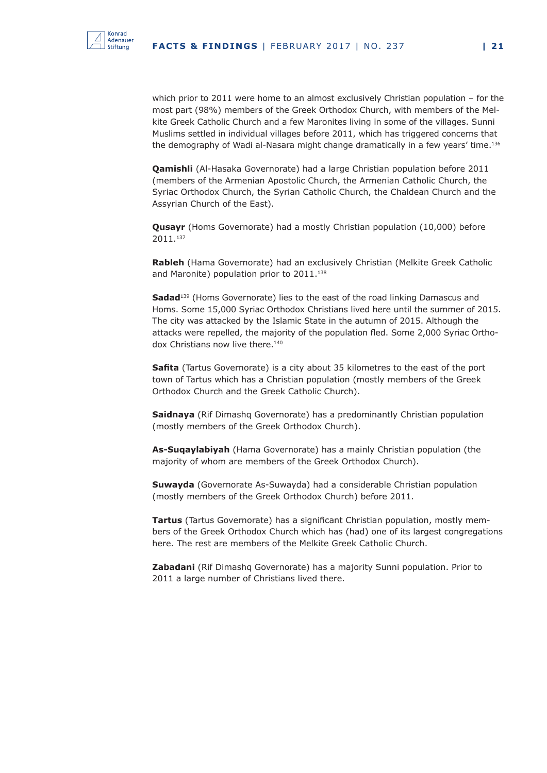

which prior to 2011 were home to an almost exclusively Christian population – for the most part (98%) members of the Greek Orthodox Church, with members of the Melkite Greek Catholic Church and a few Maronites living in some of the villages. Sunni Muslims settled in individual villages before 2011, which has triggered concerns that the demography of Wadi al-Nasara might change dramatically in a few years' time.<sup>136</sup>

**Qamishli** (Al-Hasaka Governorate) had a large Christian population before 2011 (members of the Armenian Apostolic Church, the Armenian Catholic Church, the Syriac Orthodox Church, the Syrian Catholic Church, the Chaldean Church and the Assyrian Church of the East).

**Qusayr** (Homs Governorate) had a mostly Christian population (10,000) before 2011.137

**Rableh** (Hama Governorate) had an exclusively Christian (Melkite Greek Catholic and Maronite) population prior to 2011.<sup>138</sup>

**Sadad**<sup>139</sup> (Homs Governorate) lies to the east of the road linking Damascus and Homs. Some 15,000 Syriac Orthodox Christians lived here until the summer of 2015. The city was attacked by the Islamic State in the autumn of 2015. Although the attacks were repelled, the majority of the population fled. Some 2,000 Syriac Orthodox Christians now live there.<sup>140</sup>

**Safita** (Tartus Governorate) is a city about 35 kilometres to the east of the port town of Tartus which has a Christian population (mostly members of the Greek Orthodox Church and the Greek Catholic Church).

**Saidnaya** (Rif Dimashq Governorate) has a predominantly Christian population (mostly members of the Greek Orthodox Church).

**As-Suqaylabiyah** (Hama Governorate) has a mainly Christian population (the majority of whom are members of the Greek Orthodox Church).

**Suwayda** (Governorate As-Suwayda) had a considerable Christian population (mostly members of the Greek Orthodox Church) before 2011.

**Tartus** (Tartus Governorate) has a significant Christian population, mostly members of the Greek Orthodox Church which has (had) one of its largest congregations here. The rest are members of the Melkite Greek Catholic Church.

**Zabadani** (Rif Dimashq Governorate) has a majority Sunni population. Prior to 2011 a large number of Christians lived there.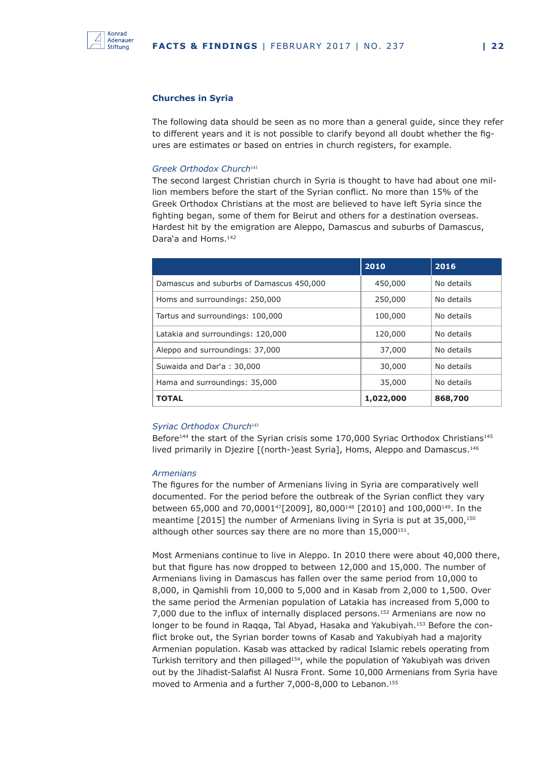

#### **Churches in Syria**

The following data should be seen as no more than a general guide, since they refer to different years and it is not possible to clarify beyond all doubt whether the figures are estimates or based on entries in church registers, for example.

#### *Greek Orthodox Church*<sup>141</sup>

The second largest Christian church in Syria is thought to have had about one million members before the start of the Syrian conflict. No more than 15% of the Greek Orthodox Christians at the most are believed to have left Syria since the fighting began, some of them for Beirut and others for a destination overseas. Hardest hit by the emigration are Aleppo, Damascus and suburbs of Damascus, Dara'a and Homs.<sup>142</sup>

|                                          | 2010      | 2016       |
|------------------------------------------|-----------|------------|
| Damascus and suburbs of Damascus 450,000 | 450,000   | No details |
| Homs and surroundings: 250,000           | 250,000   | No details |
| Tartus and surroundings: 100,000         | 100,000   | No details |
| Latakia and surroundings: 120,000        | 120,000   | No details |
| Aleppo and surroundings: 37,000          | 37,000    | No details |
| Suwaida and Dar'a: 30,000                | 30,000    | No details |
| Hama and surroundings: 35,000            | 35,000    | No details |
| <b>TOTAL</b>                             | 1,022,000 | 868,700    |

#### *Syriac Orthodox Church*<sup>143</sup>

Before<sup>144</sup> the start of the Syrian crisis some  $170,000$  Syriac Orthodox Christians<sup>145</sup> lived primarily in Djezire [(north-)east Syria], Homs, Aleppo and Damascus.<sup>146</sup>

#### *Armenians*

The figures for the number of Armenians living in Syria are comparatively well documented. For the period before the outbreak of the Syrian conflict they vary between 65,000 and 70,000147[2009], 80,000148 [2010] and 100,000149. In the meantime [2015] the number of Armenians living in Syria is put at 35,000,<sup>150</sup> although other sources say there are no more than  $15,000^{151}$ .

Most Armenians continue to live in Aleppo. In 2010 there were about 40,000 there, but that figure has now dropped to between 12,000 and 15,000. The number of Armenians living in Damascus has fallen over the same period from 10,000 to 8,000, in Qamishli from 10,000 to 5,000 and in Kasab from 2,000 to 1,500. Over the same period the Armenian population of Latakia has increased from 5,000 to 7,000 due to the influx of internally displaced persons.152 Armenians are now no longer to be found in Raqqa, Tal Abyad, Hasaka and Yakubiyah.<sup>153</sup> Before the conflict broke out, the Syrian border towns of Kasab and Yakubiyah had a majority Armenian population. Kasab was attacked by radical Islamic rebels operating from Turkish territory and then pillaged<sup>154</sup>, while the population of Yakubiyah was driven out by the Jihadist-Salafist Al Nusra Front. Some 10,000 Armenians from Syria have moved to Armenia and a further 7,000-8,000 to Lebanon.155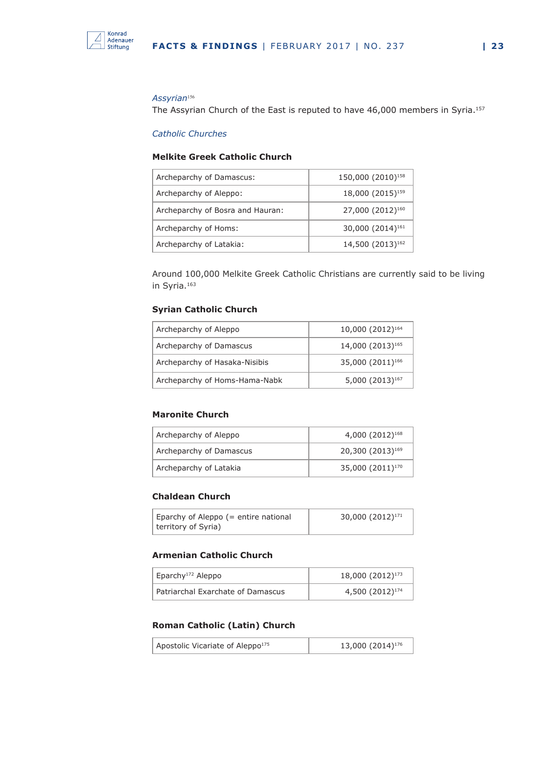

#### *Assyrian*<sup>156</sup>

The Assyrian Church of the East is reputed to have 46,000 members in Syria.<sup>157</sup>

#### *Catholic Churches*

#### **Melkite Greek Catholic Church**

| Archeparchy of Damascus:         | 150,000 (2010) <sup>158</sup> |
|----------------------------------|-------------------------------|
| Archeparchy of Aleppo:           | 18,000 (2015) <sup>159</sup>  |
| Archeparchy of Bosra and Hauran: | 27,000 (2012) <sup>160</sup>  |
| Archeparchy of Homs:             | 30,000 (2014) <sup>161</sup>  |
| Archeparchy of Latakia:          | 14,500 (2013) <sup>162</sup>  |

Around 100,000 Melkite Greek Catholic Christians are currently said to be living in Syria.<sup>163</sup>

#### **Syrian Catholic Church**

| Archeparchy of Aleppo         | 10,000 (2012) <sup>164</sup> |
|-------------------------------|------------------------------|
| Archeparchy of Damascus       | 14,000 (2013) <sup>165</sup> |
| Archeparchy of Hasaka-Nisibis | 35,000 (2011) <sup>166</sup> |
| Archeparchy of Homs-Hama-Nabk | 5,000 (2013) <sup>167</sup>  |

#### **Maronite Church**

| Archeparchy of Aleppo   | $4,000(2012)^{168}$          |
|-------------------------|------------------------------|
| Archeparchy of Damascus | 20,300 (2013) <sup>169</sup> |
| Archeparchy of Latakia  | 35,000 (2011) <sup>170</sup> |

#### **Chaldean Church**

| Eparchy of Aleppo (= entire national | 30,000 (2012) <sup>171</sup> |
|--------------------------------------|------------------------------|
| territory of Syria)                  |                              |

#### **Armenian Catholic Church**

| Eparchy <sup>172</sup> Aleppo     | 18,000 (2012) <sup>173</sup> |
|-----------------------------------|------------------------------|
| Patriarchal Exarchate of Damascus | 4,500 (2012) <sup>174</sup>  |

#### **Roman Catholic (Latin) Church**

| Apostolic Vicariate of Aleppo <sup>175</sup> | 13,000 (2014) <sup>176</sup> |
|----------------------------------------------|------------------------------|
|----------------------------------------------|------------------------------|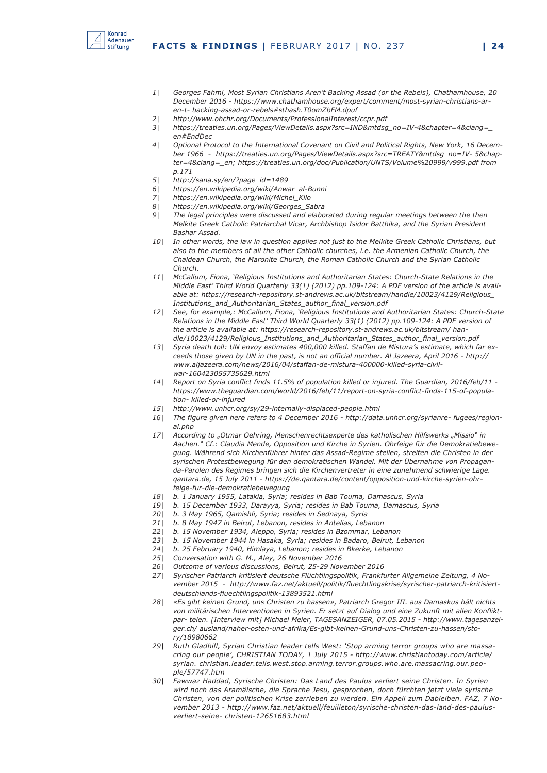

- *1| Georges Fahmi, Most Syrian Christians Aren't Backing Assad (or the Rebels), Chathamhouse, 20 December 2016 - https://www.chathamhouse.org/expert/comment/most-syrian-christians-aren-t- backing-assad-or-rebels#sthash.T0omZbFM.dpuf*
- *2| http://www.ohchr.org/Documents/ProfessionalInterest/ccpr.pdf*
- *3| https://treaties.un.org/Pages/ViewDetails.aspx?src=IND&mtdsg\_no=IV-4&chapter=4&clang=\_ en#EndDec*
- *4| Optional Protocol to the International Covenant on Civil and Political Rights, New York, 16 December 1966 - https://treaties.un.org/Pages/ViewDetails.aspx?src=TREATY&mtdsg\_no=IV- 5&chapter=4&clang=\_en; https://treaties.un.org/doc/Publication/UNTS/Volume%20999/v999.pdf from p.171*
- *5| http://sana.sy/en/?page\_id=1489*
- *6| https://en.wikipedia.org/wiki/Anwar\_al-Bunni*
- *7| https://en.wikipedia.org/wiki/Michel\_Kilo*
- *8| https://en.wikipedia.org/wiki/Georges\_Sabra*
- *9| The legal principles were discussed and elaborated during regular meetings between the then Melkite Greek Catholic Patriarchal Vicar, Archbishop Isidor Batthika, and the Syrian President Bashar Assad.*
- *10| In other words, the law in question applies not just to the Melkite Greek Catholic Christians, but also to the members of all the other Catholic churches, i.e. the Armenian Catholic Church, the Chaldean Church, the Maronite Church, the Roman Catholic Church and the Syrian Catholic Church.*
- *11| McCallum, Fiona, 'Religious Institutions and Authoritarian States: Church-State Relations in the Middle East' Third World Quarterly 33(1) (2012) pp.109-124: A PDF version of the article is available at: https://research-repository.st-andrews.ac.uk/bitstream/handle/10023/4129/Religious\_ Institutions\_and\_Authoritarian\_States\_author\_final\_version.pdf*
- *12| See, for example,: McCallum, Fiona, 'Religious Institutions and Authoritarian States: Church-State Relations in the Middle East' Third World Quarterly 33(1) (2012) pp.109-124: A PDF version of the article is available at: https://research-repository.st-andrews.ac.uk/bitstream/ handle/10023/4129/Religious\_Institutions\_and\_Authoritarian\_States\_author\_final\_version.pdf*
- *13| Syria death toll: UN envoy estimates 400,000 killed. Staffan de Mistura's estimate, which far exceeds those given by UN in the past, is not an official number. Al Jazeera, April 2016 - http:// www.aljazeera.com/news/2016/04/staffan-de-mistura-400000-killed-syria-civilwar-160423055735629.html*
- *14| Report on Syria conflict finds 11.5% of population killed or injured. The Guardian, 2016/feb/11 https://www.theguardian.com/world/2016/feb/11/report-on-syria-conflict-finds-115-of-population- killed-or-injured*
- *15| http://www.unhcr.org/sy/29-internally-displaced-people.html*
- *16| The figure given here refers to 4 December 2016 http://data.unhcr.org/syrianre- fugees/regional.php*
- 17| According to "Otmar Oehring, Menschenrechtsexperte des katholischen Hilfswerks "Missio" in *Aachen." Cf.: Claudia Mende, Opposition und Kirche in Syrien. Ohrfeige für die Demokratiebewegung. Während sich Kirchenführer hinter das Assad-Regime stellen, streiten die Christen in der syrischen Protestbewegung für den demokratischen Wandel. Mit der Übernahme von Propaganda-Parolen des Regimes bringen sich die Kirchenvertreter in eine zunehmend schwierige Lage. qantara.de, 15 July 2011 - https://de.qantara.de/content/opposition-und-kirche-syrien-ohrfeige-fur-die-demokratiebewegung*
- *18| b. 1 January 1955, Latakia, Syria; resides in Bab Touma, Damascus, Syria*
- *19| b. 15 December 1933, Darayya, Syria; resides in Bab Touma, Damascus, Syria*
- *20| b. 3 May 1965, Qamishli, Syria; resides in Sednaya, Syria*
- *21| b. 8 May 1947 in Beirut, Lebanon, resides in Antelias, Lebanon*
- *22| b. 15 November 1934, Aleppo, Syria; resides in Bzommar, Lebanon*
- *23| b. 15 November 1944 in Hasaka, Syria; resides in Badaro, Beirut, Lebanon*
- *24| b. 25 February 1940, Himlaya, Lebanon; resides in Bkerke, Lebanon*
- *25| Conversation with G. M., Aley, 26 November 2016*
- *26| Outcome of various discussions, Beirut, 25-29 November 2016*
- *27| Syrischer Patriarch kritisiert deutsche Flüchtlingspolitik, Frankfurter Allgemeine Zeitung, 4 November 2015 - http://www.faz.net/aktuell/politik/fluechtlingskrise/syrischer-patriarch-kritisiertdeutschlands-fluechtlingspolitik-13893521.html*
- *28| «Es gibt keinen Grund, uns Christen zu hassen», Patriarch Gregor III. aus Damaskus hält nichts von militärischen Interventionen in Syrien. Er setzt auf Dialog und eine Zukunft mit allen Konfliktpar- teien. [Interview mit] Michael Meier, TAGESANZEIGER, 07.05.2015 - http://www.tagesanzeiger.ch/ ausland/naher-osten-und-afrika/Es-gibt-keinen-Grund-uns-Christen-zu-hassen/story/18980662*
- *29| Ruth Gladhill, Syrian Christian leader tells West: 'Stop arming terror groups who are massacring our people', CHRISTIAN TODAY, 1 July 2015 - http://www.christiantoday.com/article/ syrian. christian.leader.tells.west.stop.arming.terror.groups.who.are.massacring.our.people/57747.htm*
- *30| Fawwaz Haddad, Syrische Christen: Das Land des Paulus verliert seine Christen. In Syrien wird noch das Aramäische, die Sprache Jesu, gesprochen, doch fürchten jetzt viele syrische Christen, von der politischen Krise zerrieben zu werden. Ein Appell zum Dableiben. FAZ, 7 November 2013 - http://www.faz.net/aktuell/feuilleton/syrische-christen-das-land-des-paulusverliert-seine- christen-12651683.html*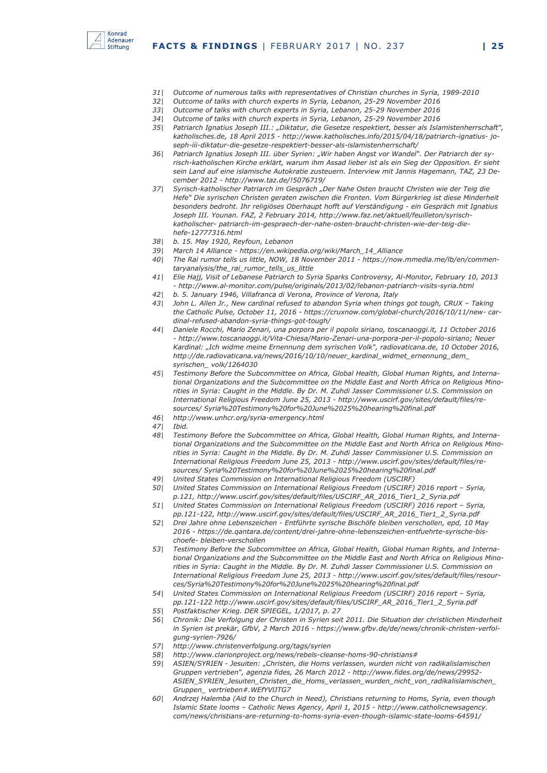

- *31| Outcome of numerous talks with representatives of Christian churches in Syria, 1989-2010*
- *32| Outcome of talks with church experts in Syria, Lebanon, 25-29 November 2016*
- *33| Outcome of talks with church experts in Syria, Lebanon, 25-29 November 2016*
- *34| Outcome of talks with church experts in Syria, Lebanon, 25-29 November 2016*
- *35| Patriarch Ignatius Joseph III.: "Diktatur, die Gesetze respektiert, besser als Islamistenherrschaft", katholisches.de, 18 April 2015 - http://www.katholisches.info/2015/04/18/patriarch-ignatius- joseph-iii-diktatur-die-gesetze-respektiert-besser-als-islamistenherrschaft/*
- *36| Patriarch Ignatius Joseph III. über Syrien: "Wir haben Angst vor Wandel". Der Patriarch der syrisch-katholischen Kirche erklärt, warum ihm Assad lieber ist als ein Sieg der Opposition. Er sieht sein Land auf eine islamische Autokratie zusteuern. Interview mit Jannis Hagemann, TAZ, 23 December 2012 - http://www.taz.de/!5076719/*
- *37| Syrisch-katholischer Patriarch im Gespräch "Der Nahe Osten braucht Christen wie der Teig die Hefe" Die syrischen Christen geraten zwischen die Fronten. Vom Bürgerkrieg ist diese Minderheit besonders bedroht. Ihr religiöses Oberhaupt hofft auf Verständigung - ein Gespräch mit Ignatius Joseph III. Younan. FAZ, 2 February 2014, http://www.faz.net/aktuell/feuilleton/syrischkatholischer- patriarch-im-gespraech-der-nahe-osten-braucht-christen-wie-der-teig-diehefe-12777316.html*
- *38| b. 15. May 1920, Reyfoun, Lebanon*
- *39| March 14 Alliance https://en.wikipedia.org/wiki/March\_14\_Alliance*
- *40| The Rai rumor tells us little, NOW, 18 November 2011 https://now.mmedia.me/lb/en/commentaryanalysis/the\_rai\_rumor\_tells\_us\_little*
- *41| Elie Hajj, Visit of Lebanese Patriarch to Syria Sparks Controversy, Al-Monitor, February 10, 2013 - http://www.al-monitor.com/pulse/originals/2013/02/lebanon-patriarch-visits-syria.html*
- *42| b. 5. January 1946, Villafranca di Verona, Province of Verona, Italy*
- *43| John L. Allen Jr., New cardinal refused to abandon Syria when things got tough, CRUX Taking the Catholic Pulse, October 11, 2016 - https://cruxnow.com/global-church/2016/10/11/new- cardinal-refused-abandon-syria-things-got-tough/*
- *44| Daniele Rocchi, Mario Zenari, una porpora per il popolo siriano, toscanaoggi.it, 11 October 2016 - http://www.toscanaoggi.it/Vita-Chiesa/Mario-Zenari-una-porpora-per-il-popolo-siriano; Neuer Kardinal: "Ich widme meine Ernennung dem syrischen Volk", radiovaticana.de, 10 October 2016, http://de.radiovaticana.va/news/2016/10/10/neuer\_kardinal\_widmet\_ernennung\_dem\_ syrischen\_ volk/1264030*
- *45| Testimony Before the Subcommittee on Africa, Global Health, Global Human Rights, and International Organizations and the Subcommittee on the Middle East and North Africa on Religious Minorities in Syria: Caught in the Middle. By Dr. M. Zuhdi Jasser Commissioner U.S. Commission on International Religious Freedom June 25, 2013 - http://www.uscirf.gov/sites/default/files/resources/ Syria%20Testimony%20for%20June%2025%20hearing%20final.pdf*
- *46| http://www.unhcr.org/syria-emergency.html*
- *47| Ibid.*
- *48| Testimony Before the Subcommittee on Africa, Global Health, Global Human Rights, and International Organizations and the Subcommittee on the Middle East and North Africa on Religious Minorities in Syria: Caught in the Middle. By Dr. M. Zuhdi Jasser Commissioner U.S. Commission on International Religious Freedom June 25, 2013 - http://www.uscirf.gov/sites/default/files/resources/ Syria%20Testimony%20for%20June%2025%20hearing%20final.pdf*
- *49| United States Commission on International Religious Freedom (USCIRF)*
- *50| United States Commission on International Religious Freedom (USCIRF) 2016 report Syria, p.121, http://www.uscirf.gov/sites/default/files/USCIRF\_AR\_2016\_Tier1\_2\_Syria.pdf*
- *51| United States Commission on International Religious Freedom (USCIRF) 2016 report Syria, pp.121-122, http://www.uscirf.gov/sites/default/files/USCIRF\_AR\_2016\_Tier1\_2\_Syria.pdf*
- *52| Drei Jahre ohne Lebenszeichen Entführte syrische Bischöfe bleiben verschollen, epd, 10 May 2016 - https://de.qantara.de/content/drei-jahre-ohne-lebenszeichen-entfuehrte-syrische-bischoefe- bleiben-verschollen*
- *53| Testimony Before the Subcommittee on Africa, Global Health, Global Human Rights, and International Organizations and the Subcommittee on the Middle East and North Africa on Religious Minorities in Syria: Caught in the Middle. By Dr. M. Zuhdi Jasser Commissioner U.S. Commission on International Religious Freedom June 25, 2013 - http://www.uscirf.gov/sites/default/files/resources/Syria%20Testimony%20for%20June%2025%20hearing%20final.pdf*
- *54| United States Commission on International Religious Freedom (USCIRF) 2016 report Syria, pp.121-122 http://www.uscirf.gov/sites/default/files/USCIRF\_AR\_2016\_Tier1\_2\_Syria.pdf*
- *55| Postfaktischer Krieg. DER SPIEGEL, 1/2017, p. 27*
- *56| Chronik: Die Verfolgung der Christen in Syrien seit 2011. Die Situation der christlichen Minderheit in Syrien ist prekär, GfbV, 2 March 2016 - https://www.gfbv.de/de/news/chronik-christen-verfolgung-syrien-7926/*
- *57| http://www.christenverfolgung.org/tags/syrien*
- *58| http://www.clarionproject.org/news/rebels-cleanse-homs-90-christians#*
- *59| ASIEN/SYRIEN Jesuiten: "Christen, die Homs verlassen, wurden nicht von radikalislamischen Gruppen vertrieben", agenzia fides, 26 March 2012 - http://www.fides.org/de/news/29952- ASIEN\_SYRIEN\_Jesuiten\_Christen\_die\_Homs\_verlassen\_wurden\_nicht\_von\_radikalislamischen\_ Gruppen\_ vertrieben#.WEfYVlJTG7*
- *60| Andrzej Halemba (Aid to the Church in Need), Christians returning to Homs, Syria, even though Islamic State looms – Catholic News Agency, April 1, 2015 - http://www.catholicnewsagency. com/news/christians-are-returning-to-homs-syria-even-though-islamic-state-looms-64591/*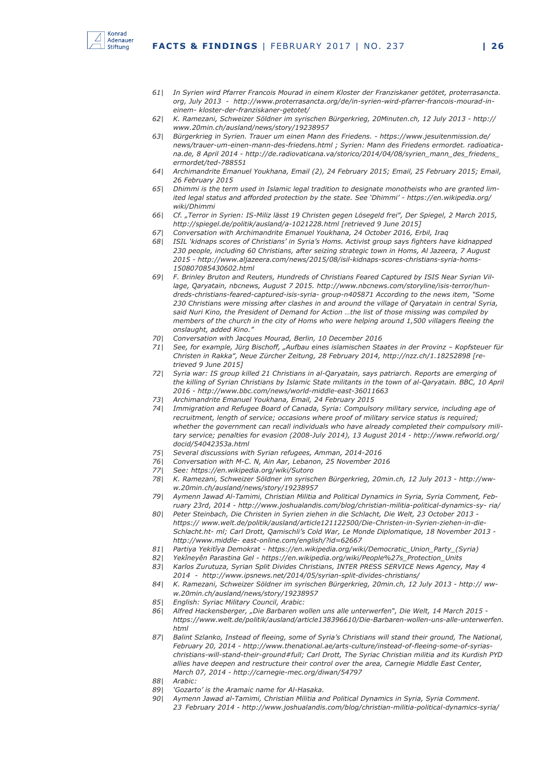

- *61| In Syrien wird Pfarrer Francois Mourad in einem Kloster der Franziskaner getötet, proterrasancta. org, July 2013 - http://www.proterrasancta.org/de/in-syrien-wird-pfarrer-francois-mourad-ineinem- kloster-der-franziskaner-getotet/*
- *62| K. Ramezani, Schweizer Söldner im syrischen Bürgerkrieg, 20Minuten.ch, 12 July 2013 http:// www.20min.ch/ausland/news/story/19238957*
- *63| Bürgerkrieg in Syrien. Trauer um einen Mann des Friedens. https://www.jesuitenmission.de/ news/trauer-um-einen-mann-des-friedens.html ; Syrien: Mann des Friedens ermordet. radioaticana.de, 8 April 2014 - http://de.radiovaticana.va/storico/2014/04/08/syrien\_mann\_des\_friedens\_ ermordet/ted-788551*
- *64| Archimandrite Emanuel Youkhana, Email (2), 24 February 2015; Email, 25 February 2015; Email, 26 February 2015*
- *65| Dhimmi is the term used in Islamic legal tradition to designate monotheists who are granted limited legal status and afforded protection by the state. See 'Dhimmi' - https://en.wikipedia.org/ wiki/Dhimmi*
- *66| Cf. "Terror in Syrien: IS-Miliz lässt 19 Christen gegen Lösegeld frei", Der Spiegel, 2 March 2015, http://spiegel.de/politik/ausland/a-1021228.html [retrieved 9 June 2015]*
- *67| Conversation with Archimandrite Emanuel Youkhana, 24 October 2016, Erbil, Iraq*
- *68| ISIL 'kidnaps scores of Christians' in Syria's Homs. Activist group says fighters have kidnapped 230 people, including 60 Christians, after seizing strategic town in Homs, Al Jazeera, 7 August 2015 - http://www.aljazeera.com/news/2015/08/isil-kidnaps-scores-christians-syria-homs-150807085430602.html*
- *69| F. Brinley Bruton and Reuters, Hundreds of Christians Feared Captured by ISIS Near Syrian Village, Qaryatain, nbcnews, August 7 2015. http://www.nbcnews.com/storyline/isis-terror/hundreds-christians-feared-captured-isis-syria- group-n405871 According to the news item, "Some 230 Christians were missing after clashes in and around the village of Qaryatain in central Syria, said Nuri Kino, the President of Demand for Action …the list of those missing was compiled by members of the church in the city of Homs who were helping around 1,500 villagers fleeing the onslaught, added Kino."*
- *70| Conversation with Jacques Mourad, Berlin, 10 December 2016*
- *71| See, for example, Jürg Bischoff, "Aufbau eines islamischen Staates in der Provinz Kopfsteuer für Christen in Rakka", Neue Zürcher Zeitung, 28 February 2014, http://nzz.ch/1.18252898 [retrieved 9 June 2015]*
- *72| Syria war: IS group killed 21 Christians in al-Qaryatain, says patriarch. Reports are emerging of the killing of Syrian Christians by Islamic State militants in the town of al-Qaryatain. BBC, 10 April 2016 - http://www.bbc.com/news/world-middle-east-36011663*
- *73| Archimandrite Emanuel Youkhana, Email, 24 February 2015*
- *74| Immigration and Refugee Board of Canada, Syria: Compulsory military service, including age of recruitment, length of service; occasions where proof of military service status is required; whether the government can recall individuals who have already completed their compulsory military service; penalties for evasion (2008-July 2014), 13 August 2014 - http://www.refworld.org/ docid/54042353a.html*
- *75| Several discussions with Syrian refugees, Amman, 2014-2016*
- *76| Conversation with M-C. N, Ain Aar, Lebanon, 25 November 2016*
- *77| See: https://en.wikipedia.org/wiki/Sutoro*
- *78| K. Ramezani, Schweizer Söldner im syrischen Bürgerkrieg, 20min.ch, 12 July 2013 http://www.20min.ch/ausland/news/story/19238957*
- *79| Aymenn Jawad Al-Tamimi, Christian Militia and Political Dynamics in Syria, Syria Comment, February 23rd, 2014 - http://www.joshualandis.com/blog/christian-militia-political-dynamics-sy- ria/*
- *80| Peter Steinbach, Die Christen in Syrien ziehen in die Schlacht, Die Welt, 23 October 2013 https:// www.welt.de/politik/ausland/article121122500/Die-Christen-in-Syrien-ziehen-in-die-Schlacht.ht- ml; Carl Drott, Qamischli's Cold War, Le Monde Diplomatique, 18 November 2013 http://www.middle- east-online.com/english/?id=62667*
- *81| Partiya Yekitîya Demokrat https://en.wikipedia.org/wiki/Democratic\_Union\_Party\_(Syria)*
- *82| Yekîneyên Parastina Gel https://en.wikipedia.org/wiki/People%27s\_Protection\_Units*
- *83| Karlos Zurutuza, Syrian Split Divides Christians, INTER PRESS SERVICE News Agency, May 4 2014 - http://www.ipsnews.net/2014/05/syrian-split-divides-christians/*
- *84| K. Ramezani, Schweizer Söldner im syrischen Bürgerkrieg, 20min.ch, 12 July 2013 http:// www.20min.ch/ausland/news/story/19238957*
- *85| English: Syriac Military Council, Arabic:*
- *86| Alfred Hackensberger, "Die Barbaren wollen uns alle unterwerfen", Die Welt, 14 March 2015 https://www.welt.de/politik/ausland/article138396610/Die-Barbaren-wollen-uns-alle-unterwerfen. html*
- *87| Balint Szlanko, Instead of fleeing, some of Syria's Christians will stand their ground, The National, February 20, 2014 - http://www.thenational.ae/arts-culture/instead-of-fleeing-some-of-syriaschristians-will-stand-their-ground#full; Carl Drott, The Syriac Christian militia and its Kurdish PYD allies have deepen and restructure their control over the area, Carnegie Middle East Center, March 07, 2014 - http://carnegie-mec.org/diwan/54797*
- *88| Arabic:*
- *89| 'Gozarto' is the Aramaic name for Al-Hasaka.*
- *90| Aymenn Jawad al-Tamimi, Christian Militia and Political Dynamics in Syria, Syria Comment. 23 February 2014 - http://www.joshualandis.com/blog/christian-militia-political-dynamics-syria/*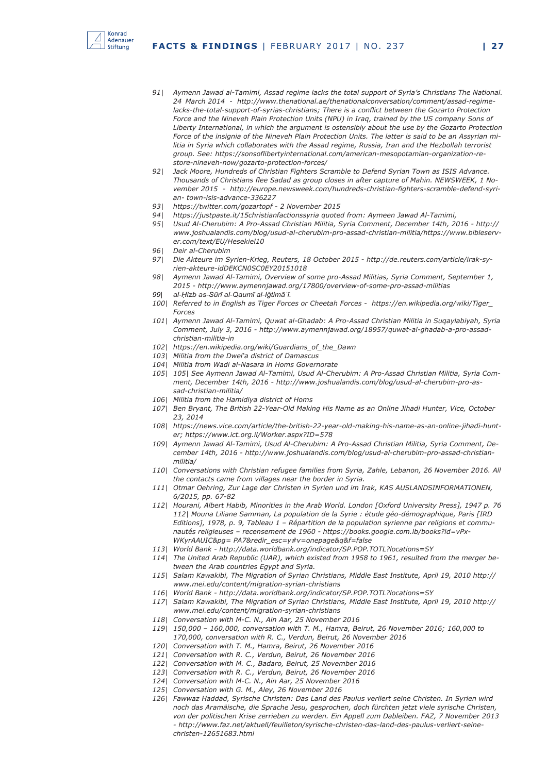

- *91| Aymenn Jawad al-Tamimi, Assad regime lacks the total support of Syria's Christians The National. 24 March 2014 - http://www.thenational.ae/thenationalconversation/comment/assad-regime*lacks-the-total-support-of-syrias-christians; There is a conflict between the Gozarto Protection Force and the Nineveh Plain Protection Units (NPU) in Iraq, trained by the US company Sons of *Liberty International, in which the argument is ostensibly about the use by the Gozarto Protection Force of the insignia of the Nineveh Plain Protection Units. The latter is said to be an Assyrian militia in Syria which collaborates with the Assad regime, Russia, Iran and the Hezbollah terrorist group. See: https://sonsoflibertyinternational.com/american-mesopotamian-organization-restore-nineveh-now/gozarto-protection-forces/*
- *92| Jack Moore, Hundreds of Christian Fighters Scramble to Defend Syrian Town as ISIS Advance. Thousands of Christians flee Sadad as group closes in after capture of Mahin. NEWSWEEK, 1 November 2015 - http://europe.newsweek.com/hundreds-christian-fighters-scramble-defend-syrian- town-isis-advance-336227*
- *93| https://twitter.com/gozartopf 2 November 2015*
- *94| https://justpaste.it/15christianfactionssyria quoted from: Aymeen Jawad Al-Tamimi,*
- *95| Usud Al-Cherubim: A Pro-Assad Christian Militia, Syria Comment, December 14th, 2016 http:// www.joshualandis.com/blog/usud-al-cherubim-pro-assad-christian-militia/https://www.bibleserver.com/text/EU/Hesekiel10*
- *96| Deir al-Cherubim*
- *97| Die Akteure im Syrien-Krieg, Reuters, 18 October 2015 http://de.reuters.com/article/irak-syrien-akteure-idDEKCN0SC0EY20151018*
- *98| Aymenn Jawad Al-Tamimi, Overview of some pro-Assad Militias, Syria Comment, September 1, 2015 - http://www.aymennjawad.org/17800/overview-of-some-pro-assad-militias*
- *99| al-Ḥizb as-Sūrī al-Qaumī al-Iǧtimāʿī.*
- *100| Referred to in English as Tiger Forces or Cheetah Forces https://en.wikipedia.org/wiki/Tiger\_ Forces*
- *101| Aymenn Jawad Al-Tamimi, Quwat al-Ghadab: A Pro-Assad Christian Militia in Suqaylabiyah, Syria Comment, July 3, 2016 - http://www.aymennjawad.org/18957/quwat-al-ghadab-a-pro-assadchristian-militia-in*
- *102| https://en.wikipedia.org/wiki/Guardians\_of\_the\_Dawn*
- *103| Militia from the Dwel'a district of Damascus*
- *104| Militia from Wadi al-Nasara in Homs Governorate*
- *105| 105| See Aymenn Jawad Al-Tamimi, Usud Al-Cherubim: A Pro-Assad Christian Militia, Syria Comment, December 14th, 2016 - http://www.joshualandis.com/blog/usud-al-cherubim-pro-assad-christian-militia/*
- *106| Militia from the Hamidiya district of Homs*
- *107| Ben Bryant, The British 22-Year-Old Making His Name as an Online Jihadi Hunter, Vice, October 23, 2014*
- *108| https://news.vice.com/article/the-british-22-year-old-making-his-name-as-an-online-jihadi-hunter; https://www.ict.org.il/Worker.aspx?ID=578*
- *109| Aymenn Jawad Al-Tamimi, Usud Al-Cherubim: A Pro-Assad Christian Militia, Syria Comment, December 14th, 2016 - http://www.joshualandis.com/blog/usud-al-cherubim-pro-assad-christianmilitia/*
- *110| Conversations with Christian refugee families from Syria, Zahle, Lebanon, 26 November 2016. All the contacts came from villages near the border in Syria.*
- *111| Otmar Oehring, Zur Lage der Christen in Syrien und im Irak, KAS AUSLANDSINFORMATIONEN, 6/2015, pp. 67-82*
- *112| Hourani, Albert Habib, Minorities in the Arab World. London [Oxford University Press], 1947 p. 76 112| Mouna Liliane Samman, La population de la Syrie : étude géo-démographique, Paris [IRD Editions], 1978, p. 9, Tableau 1 – Répartition de la population syrienne par religions et communautés religieuses – recensement de 1960 - https://books.google.com.lb/books?id=vPx-WKyrAAUIC&pg= PA7&redir\_esc=y#v=onepage&q&f=false*
- *113| World Bank http://data.worldbank.org/indicator/SP.POP.TOTL?locations=SY*
- *114| The United Arab Republic (UAR), which existed from 1958 to 1961, resulted from the merger between the Arab countries Egypt and Syria.*
- *115| Salam Kawakibi, The Migration of Syrian Christians, Middle East Institute, April 19, 2010 http:// www.mei.edu/content/migration-syrian-christians*
- *116| World Bank http://data.worldbank.org/indicator/SP.POP.TOTL?locations=SY*
- *117| Salam Kawakibi, The Migration of Syrian Christians, Middle East Institute, April 19, 2010 http:// www.mei.edu/content/migration-syrian-christians*
- *118| Conversation with M-C. N., Ain Aar, 25 November 2016*
- *119| 150,000 160,000, conversation with T. M., Hamra, Beirut, 26 November 2016; 160,000 to 170,000, conversation with R. C., Verdun, Beirut, 26 November 2016*
- *120| Conversation with T. M., Hamra, Beirut, 26 November 2016*
- *121| Conversation with R. C., Verdun, Beirut, 26 November 2016*
- *122| Conversation with M. C., Badaro, Beirut, 25 November 2016*
- *123| Conversation with R. C., Verdun, Beirut, 26 November 2016*
- *124| Conversation with M-C. N., Ain Aar, 25 November 2016*
- *125| Conversation with G. M., Aley, 26 November 2016*
- *126| Fawwaz Haddad, Syrische Christen: Das Land des Paulus verliert seine Christen. In Syrien wird noch das Aramäische, die Sprache Jesu, gesprochen, doch fürchten jetzt viele syrische Christen, von der politischen Krise zerrieben zu werden. Ein Appell zum Dableiben. FAZ, 7 November 2013 - http://www.faz.net/aktuell/feuilleton/syrische-christen-das-land-des-paulus-verliert-seinechristen-12651683.html*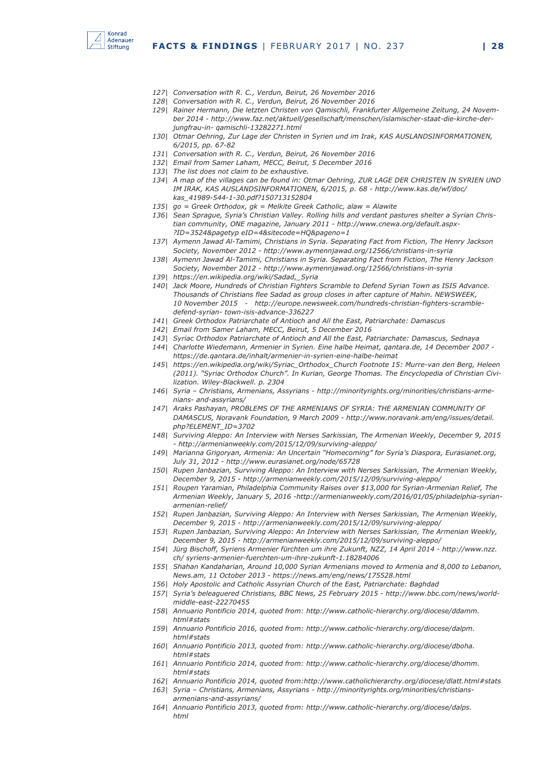

- *127| Conversation with R. C., Verdun, Beirut, 26 November 2016*
- *128| Conversation with R. C., Verdun, Beirut, 26 November 2016*
- *129| Rainer Hermann, Die letzten Christen von Qamischli, Frankfurter Allgemeine Zeitung, 24 November 2014 - http://www.faz.net/aktuell/gesellschaft/menschen/islamischer-staat-die-kirche-derjungfrau-in- qamischli-13282271.html*
- *130| Otmar Oehring, Zur Lage der Christen in Syrien und im Irak, KAS AUSLANDSINFORMATIONEN, 6/2015, pp. 67-82*
- *131| Conversation with R. C., Verdun, Beirut, 26 November 2016*
- *132| Email from Samer Laham, MECC, Beirut, 5 December 2016*
- *133| The list does not claim to be exhaustive.*
- *134| A map of the villages can be found in: Otmar Oehring, ZUR LAGE DER CHRISTEN IN SYRIEN UND IM IRAK, KAS AUSLANDSINFORMATIONEN, 6/2015, p. 68 - http://www.kas.de/wf/doc/ kas\_41989-544-1-30.pdf?150713152804*
- *135| go = Greek Orthodox, gk = Melkite Greek Catholic, alaw = Alawite*
- *136| Sean Sprague, Syria's Christian Valley. Rolling hills and verdant pastures shelter a Syrian Christian community, ONE magazine, January 2011 - http://www.cnewa.org/default.aspx- ?ID=3524&pagetyp eID=4&sitecode=HQ&pageno=1*
- *137| Aymenn Jawad Al-Tamimi, Christians in Syria. Separating Fact from Fiction, The Henry Jackson Society, November 2012 - http://www.aymennjawad.org/12566/christians-in-syria*
- *138| Aymenn Jawad Al-Tamimi, Christians in Syria. Separating Fact from Fiction, The Henry Jackson Society, November 2012 - http://www.aymennjawad.org/12566/christians-in-syria*
- *139| https://en.wikipedia.org/wiki/Sadad,\_Syria*
- *140| Jack Moore, Hundreds of Christian Fighters Scramble to Defend Syrian Town as ISIS Advance. Thousands of Christians flee Sadad as group closes in after capture of Mahin. NEWSWEEK, 10 November 2015 - http://europe.newsweek.com/hundreds-christian-fighters-scrambledefend-syrian- town-isis-advance-336227*
- *141| Greek Orthodox Patriarchate of Antioch and All the East, Patriarchate: Damascus*
- *142| Email from Samer Laham, MECC, Beirut, 5 December 2016*
- *143| Syriac Orthodox Patriarchate of Antioch and All the East, Patriarchate: Damascus, Sednaya*
- *144| Charlotte Wiedemann, Armenier in Syrien. Eine halbe Heimat, qantara.de, 14 December 2007 https://de.qantara.de/inhalt/armenier-in-syrien-eine-halbe-heimat*
- *145| https://en.wikipedia.org/wiki/Syriac\_Orthodox\_Church Footnote 15: Murre-van den Berg, Heleen (2011). "Syriac Orthodox Church". In Kurian, George Thomas. The Encyclopedia of Christian Civilization. Wiley-Blackwell. p. 2304*
- *146| Syria Christians, Armenians, Assyrians http://minorityrights.org/minorities/christians-armenians- and-assyrians/*
- *147| Araks Pashayan, PROBLEMS OF THE ARMENIANS OF SYRIA: THE ARMENIAN COMMUNITY OF DAMASCUS, Noravank Foundation, 9 March 2009 - http://www.noravank.am/eng/issues/detail. php?ELEMENT\_ID=3702*
- *148| Surviving Aleppo: An Interview with Nerses Sarkissian, The Armenian Weekly, December 9, 2015 - http://armenianweekly.com/2015/12/09/surviving-aleppo/*
- *149| Marianna Grigoryan, Armenia: An Uncertain "Homecoming" for Syria's Diaspora, Eurasianet.org, July 31, 2012 - http://www.eurasianet.org/node/65728*
- *150| Rupen Janbazian, Surviving Aleppo: An Interview with Nerses Sarkissian, The Armenian Weekly, December 9, 2015 - http://armenianweekly.com/2015/12/09/surviving-aleppo/*
- *151| Roupen Yaramian, Philadelphia Community Raises over \$13,000 for Syrian-Armenian Relief, The Armenian Weekly, January 5, 2016 -http://armenianweekly.com/2016/01/05/philadelphia-syrianarmenian-relief/*
- *152| Rupen Janbazian, Surviving Aleppo: An Interview with Nerses Sarkissian, The Armenian Weekly, December 9, 2015 - http://armenianweekly.com/2015/12/09/surviving-aleppo/*
- *153| Rupen Janbazian, Surviving Aleppo: An Interview with Nerses Sarkissian, The Armenian Weekly, December 9, 2015 - http://armenianweekly.com/2015/12/09/surviving-aleppo/*
- *154| Jürg Bischoff, Syriens Armenier fürchten um ihre Zukunft, NZZ, 14 April 2014 http://www.nzz. ch/ syriens-armenier-fuerchten-um-ihre-zukunft-1.18284006*
- *155| Shahan Kandaharian, Around 10,000 Syrian Armenians moved to Armenia and 8,000 to Lebanon, News.am, 11 October 2013 - https://news.am/eng/news/175528.html*
- *156| Holy Apostolic and Catholic Assyrian Church of the East, Patriarchate: Baghdad*
- *157| Syria's beleaguered Christians, BBC News, 25 February 2015 http://www.bbc.com/news/worldmiddle-east-22270455*
- *158| Annuario Pontificio 2014, quoted from: http://www.catholic-hierarchy.org/diocese/ddamm. html#stats*
- *159| Annuario Pontificio 2016, quoted from: http://www.catholic-hierarchy.org/diocese/dalpm. html#stats*
- *160| Annuario Pontificio 2013, quoted from: http://www.catholic-hierarchy.org/diocese/dboha. html#stats*
- *161| Annuario Pontificio 2014, quoted from: http://www.catholic-hierarchy.org/diocese/dhomm. html#stats*
- *162| Annuario Pontificio 2014, quoted from:http://www.catholichierarchy.org/diocese/dlatt.html#stats*
- *163| Syria Christians, Armenians, Assyrians http://minorityrights.org/minorities/christiansarmenians-and-assyrians/*
- *164| Annuario Pontificio 2013, quoted from: http://www.catholic-hierarchy.org/diocese/dalps. html*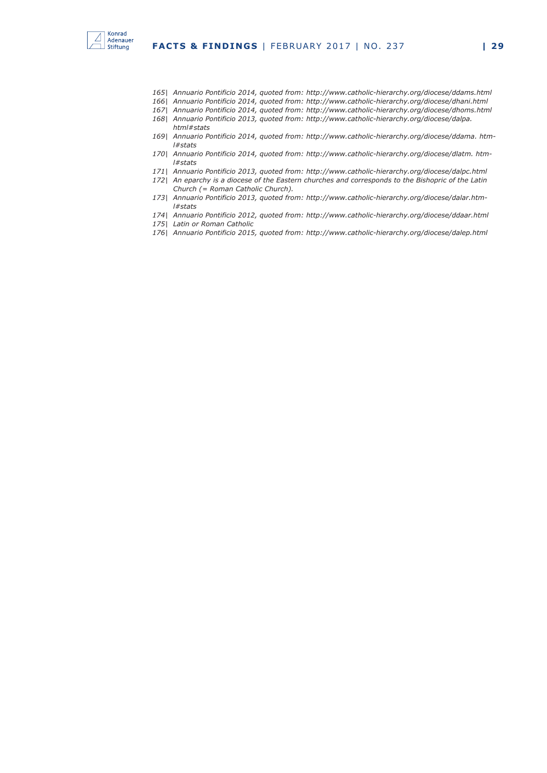

- *165| Annuario Pontificio 2014, quoted from: http://www.catholic-hierarchy.org/diocese/ddams.html*
- *166| Annuario Pontificio 2014, quoted from: http://www.catholic-hierarchy.org/diocese/dhani.html*
- *167| Annuario Pontificio 2014, quoted from: http://www.catholic-hierarchy.org/diocese/dhoms.html*
- *168| Annuario Pontificio 2013, quoted from: http://www.catholic-hierarchy.org/diocese/dalpa. html#stats*
- *169| Annuario Pontificio 2014, quoted from: http://www.catholic-hierarchy.org/diocese/ddama. html#stats*
- *170| Annuario Pontificio 2014, quoted from: http://www.catholic-hierarchy.org/diocese/dlatm. html#stats*
- *171| Annuario Pontificio 2013, quoted from: http://www.catholic-hierarchy.org/diocese/dalpc.html*
- *172| An eparchy is a diocese of the Eastern churches and corresponds to the Bishopric of the Latin Church (= Roman Catholic Church).*
- *173| Annuario Pontificio 2013, quoted from: http://www.catholic-hierarchy.org/diocese/dalar.html#stats*
- *174| Annuario Pontificio 2012, quoted from: http://www.catholic-hierarchy.org/diocese/ddaar.html*
- *175| Latin or Roman Catholic*
- *176| Annuario Pontificio 2015, quoted from: http://www.catholic-hierarchy.org/diocese/dalep.html*